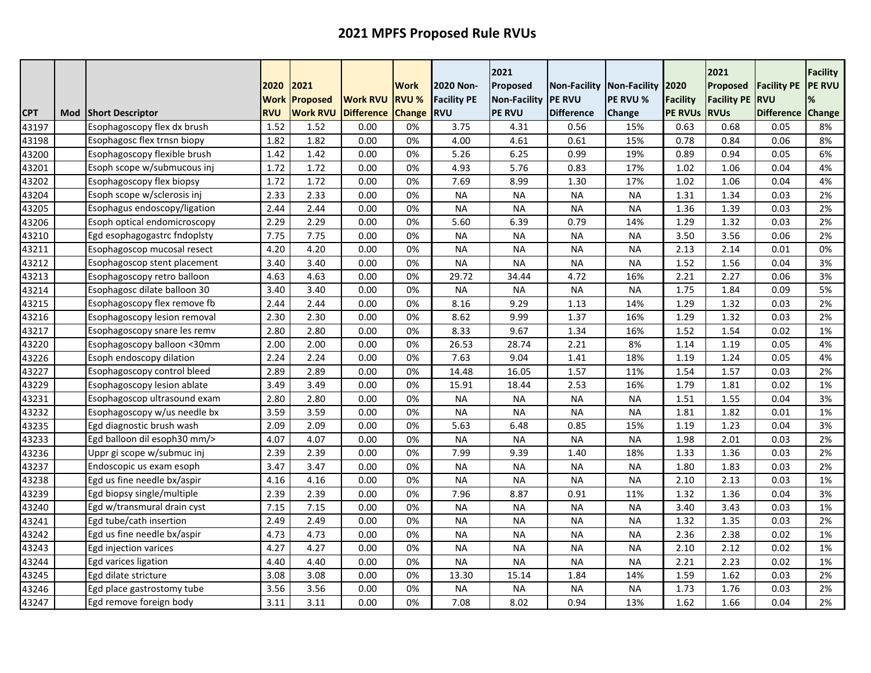|            |     |                              | 2020               | 2021                               |                                      | <b>Work</b>                   | 2020 Non-                        | 2021<br>Proposed                     | Non-Facility Non-Facility 2020      |               |                                   | 2021<br>Proposed                  | <b>Facility PE</b>              | <b>Facility</b><br><b>PE RVU</b> |
|------------|-----|------------------------------|--------------------|------------------------------------|--------------------------------------|-------------------------------|----------------------------------|--------------------------------------|-------------------------------------|---------------|-----------------------------------|-----------------------------------|---------------------------------|----------------------------------|
| <b>CPT</b> | Mod | <b>Short Descriptor</b>      | Work<br><b>RVU</b> | <b>Proposed</b><br><b>Work RVU</b> | <b>Work RVU</b><br><b>Difference</b> | <b>RVU %</b><br><b>Change</b> | <b>Facility PE</b><br><b>RVU</b> | <b>Non-Facility</b><br><b>PE RVU</b> | <b>IPE RVU</b><br><b>Difference</b> | PE RVU %      | <b>Facility</b><br><b>PE RVUs</b> | <b>Facility PE</b><br><b>RVUs</b> | <b>RVU</b><br><b>Difference</b> | %<br>Change                      |
| 43197      |     | Esophagoscopy flex dx brush  | 1.52               | 1.52                               | 0.00                                 | 0%                            | 3.75                             | 4.31                                 | 0.56                                | Change<br>15% | 0.63                              | 0.68                              | 0.05                            | 8%                               |
| 43198      |     | Esophagosc flex trnsn biopy  | 1.82               | 1.82                               | 0.00                                 | 0%                            | 4.00                             | 4.61                                 | 0.61                                | 15%           | 0.78                              | 0.84                              | 0.06                            | 8%                               |
| 43200      |     | Esophagoscopy flexible brush | 1.42               | 1.42                               | 0.00                                 | 0%                            | 5.26                             | 6.25                                 | 0.99                                | 19%           | 0.89                              | 0.94                              | 0.05                            | 6%                               |
| 43201      |     | Esoph scope w/submucous inj  | 1.72               | 1.72                               | 0.00                                 | 0%                            | 4.93                             | 5.76                                 | 0.83                                | 17%           | 1.02                              | 1.06                              | 0.04                            | 4%                               |
| 43202      |     | Esophagoscopy flex biopsy    | 1.72               | 1.72                               | 0.00                                 | 0%                            | 7.69                             | 8.99                                 | 1.30                                | 17%           | 1.02                              | 1.06                              | 0.04                            | 4%                               |
| 43204      |     | Esoph scope w/sclerosis inj  | 2.33               | 2.33                               | 0.00                                 | 0%                            | <b>NA</b>                        | <b>NA</b>                            | <b>NA</b>                           | <b>NA</b>     | 1.31                              | 1.34                              | 0.03                            | 2%                               |
| 43205      |     | Esophagus endoscopy/ligation | 2.44               | 2.44                               | 0.00                                 | 0%                            | <b>NA</b>                        | <b>NA</b>                            | <b>NA</b>                           | <b>NA</b>     | 1.36                              | 1.39                              | 0.03                            | 2%                               |
| 43206      |     | Esoph optical endomicroscopy | 2.29               | 2.29                               | 0.00                                 | 0%                            | 5.60                             | 6.39                                 | 0.79                                | 14%           | 1.29                              | 1.32                              | 0.03                            | 2%                               |
| 43210      |     | Egd esophagogastrc fndoplsty | 7.75               | 7.75                               | 0.00                                 | 0%                            | <b>NA</b>                        | <b>NA</b>                            | <b>NA</b>                           | <b>NA</b>     | 3.50                              | 3.56                              | 0.06                            | 2%                               |
| 43211      |     | Esophagoscop mucosal resect  | 4.20               | 4.20                               | 0.00                                 | 0%                            | <b>NA</b>                        | <b>NA</b>                            | <b>NA</b>                           | <b>NA</b>     | 2.13                              | 2.14                              | 0.01                            | 0%                               |
| 43212      |     | Esophagoscop stent placement | 3.40               | 3.40                               | 0.00                                 | 0%                            | <b>NA</b>                        | <b>NA</b>                            | <b>NA</b>                           | <b>NA</b>     | 1.52                              | 1.56                              | 0.04                            | 3%                               |
| 43213      |     | Esophagoscopy retro balloon  | 4.63               | 4.63                               | 0.00                                 | 0%                            | 29.72                            | 34.44                                | 4.72                                | 16%           | 2.21                              | 2.27                              | 0.06                            | 3%                               |
| 43214      |     | Esophagosc dilate balloon 30 | 3.40               | 3.40                               | 0.00                                 | 0%                            | <b>NA</b>                        | <b>NA</b>                            | <b>NA</b>                           | <b>NA</b>     | 1.75                              | 1.84                              | 0.09                            | 5%                               |
| 43215      |     | Esophagoscopy flex remove fb | 2.44               | 2.44                               | 0.00                                 | 0%                            | 8.16                             | 9.29                                 | 1.13                                | 14%           | 1.29                              | 1.32                              | 0.03                            | 2%                               |
| 43216      |     | Esophagoscopy lesion removal | 2.30               | 2.30                               | 0.00                                 | 0%                            | 8.62                             | 9.99                                 | 1.37                                | 16%           | 1.29                              | 1.32                              | 0.03                            | 2%                               |
| 43217      |     | Esophagoscopy snare les remv | 2.80               | 2.80                               | 0.00                                 | 0%                            | 8.33                             | 9.67                                 | 1.34                                | 16%           | 1.52                              | 1.54                              | 0.02                            | 1%                               |
| 43220      |     | Esophagoscopy balloon <30mm  | 2.00               | 2.00                               | 0.00                                 | 0%                            | 26.53                            | 28.74                                | 2.21                                | 8%            | 1.14                              | 1.19                              | 0.05                            | 4%                               |
| 43226      |     | Esoph endoscopy dilation     | 2.24               | 2.24                               | 0.00                                 | 0%                            | 7.63                             | 9.04                                 | 1.41                                | 18%           | 1.19                              | 1.24                              | 0.05                            | 4%                               |
| 43227      |     | Esophagoscopy control bleed  | 2.89               | 2.89                               | 0.00                                 | 0%                            | 14.48                            | 16.05                                | 1.57                                | 11%           | 1.54                              | 1.57                              | 0.03                            | 2%                               |
| 43229      |     | Esophagoscopy lesion ablate  | 3.49               | 3.49                               | 0.00                                 | 0%                            | 15.91                            | 18.44                                | 2.53                                | 16%           | 1.79                              | 1.81                              | 0.02                            | 1%                               |
| 43231      |     | Esophagoscop ultrasound exam | 2.80               | 2.80                               | 0.00                                 | 0%                            | <b>NA</b>                        | <b>NA</b>                            | <b>NA</b>                           | <b>NA</b>     | 1.51                              | 1.55                              | 0.04                            | 3%                               |
| 43232      |     | Esophagoscopy w/us needle bx | 3.59               | 3.59                               | 0.00                                 | 0%                            | <b>NA</b>                        | <b>NA</b>                            | <b>NA</b>                           | <b>NA</b>     | 1.81                              | 1.82                              | 0.01                            | 1%                               |
| 43235      |     | Egd diagnostic brush wash    | 2.09               | 2.09                               | 0.00                                 | 0%                            | 5.63                             | 6.48                                 | 0.85                                | 15%           | 1.19                              | 1.23                              | 0.04                            | 3%                               |
| 43233      |     | Egd balloon dil esoph30 mm/> | 4.07               | 4.07                               | 0.00                                 | 0%                            | <b>NA</b>                        | <b>NA</b>                            | <b>NA</b>                           | <b>NA</b>     | 1.98                              | 2.01                              | 0.03                            | 2%                               |
| 43236      |     | Uppr gi scope w/submuc inj   | 2.39               | 2.39                               | 0.00                                 | 0%                            | 7.99                             | 9.39                                 | 1.40                                | 18%           | 1.33                              | 1.36                              | 0.03                            | 2%                               |
| 43237      |     | Endoscopic us exam esoph     | 3.47               | 3.47                               | 0.00                                 | 0%                            | <b>NA</b>                        | <b>NA</b>                            | <b>NA</b>                           | <b>NA</b>     | 1.80                              | 1.83                              | 0.03                            | 2%                               |
| 43238      |     | Egd us fine needle bx/aspir  | 4.16               | 4.16                               | 0.00                                 | 0%                            | <b>NA</b>                        | <b>NA</b>                            | <b>NA</b>                           | <b>NA</b>     | 2.10                              | 2.13                              | 0.03                            | 1%                               |
| 43239      |     | Egd biopsy single/multiple   | 2.39               | 2.39                               | 0.00                                 | 0%                            | 7.96                             | 8.87                                 | 0.91                                | 11%           | 1.32                              | 1.36                              | 0.04                            | 3%                               |
| 43240      |     | Egd w/transmural drain cyst  | 7.15               | 7.15                               | 0.00                                 | 0%                            | <b>NA</b>                        | <b>NA</b>                            | <b>NA</b>                           | <b>NA</b>     | 3.40                              | 3.43                              | 0.03                            | 1%                               |
| 43241      |     | Egd tube/cath insertion      | 2.49               | 2.49                               | 0.00                                 | 0%                            | <b>NA</b>                        | <b>NA</b>                            | <b>NA</b>                           | <b>NA</b>     | 1.32                              | 1.35                              | 0.03                            | 2%                               |
| 43242      |     | Egd us fine needle bx/aspir  | 4.73               | 4.73                               | 0.00                                 | 0%                            | <b>NA</b>                        | <b>NA</b>                            | <b>NA</b>                           | <b>NA</b>     | 2.36                              | 2.38                              | 0.02                            | 1%                               |
| 43243      |     | Egd injection varices        | 4.27               | 4.27                               | 0.00                                 | 0%                            | <b>NA</b>                        | <b>NA</b>                            | <b>NA</b>                           | <b>NA</b>     | 2.10                              | 2.12                              | 0.02                            | 1%                               |
| 43244      |     | Egd varices ligation         | 4.40               | 4.40                               | 0.00                                 | 0%                            | <b>NA</b>                        | <b>NA</b>                            | <b>NA</b>                           | <b>NA</b>     | 2.21                              | 2.23                              | 0.02                            | 1%                               |
| 43245      |     | Egd dilate stricture         | 3.08               | 3.08                               | 0.00                                 | 0%                            | 13.30                            | 15.14                                | 1.84                                | 14%           | 1.59                              | 1.62                              | 0.03                            | 2%                               |
| 43246      |     | Egd place gastrostomy tube   | 3.56               | 3.56                               | 0.00                                 | 0%                            | <b>NA</b>                        | <b>NA</b>                            | <b>NA</b>                           | <b>NA</b>     | 1.73                              | 1.76                              | 0.03                            | 2%                               |
| 43247      |     | Egd remove foreign body      | 3.11               | 3.11                               | 0.00                                 | 0%                            | 7.08                             | 8.02                                 | 0.94                                | 13%           | 1.62                              | 1.66                              | 0.04                            | 2%                               |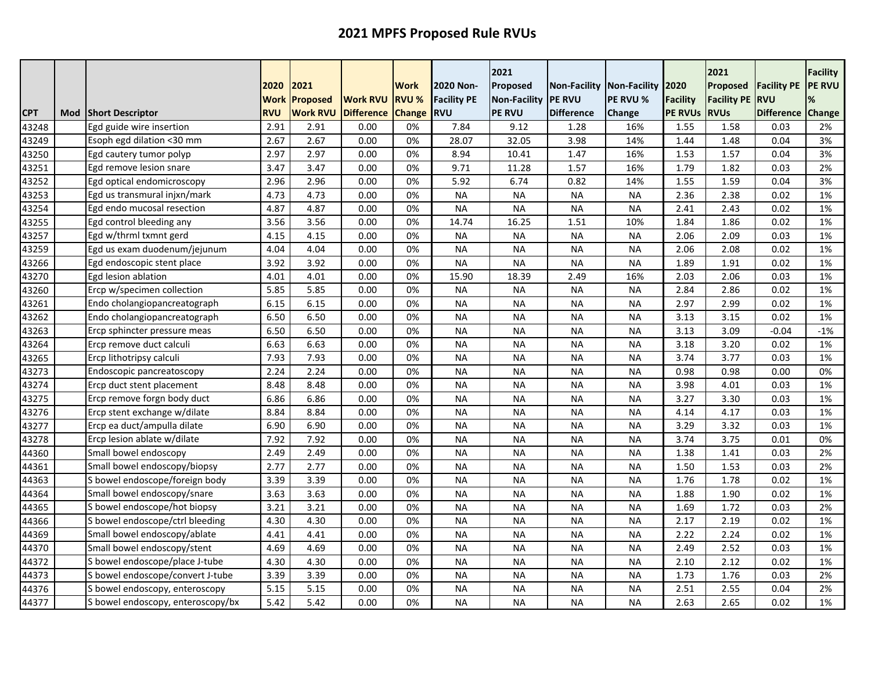|            |     |                                   | 2020                      | 2021                               |                                      | <b>Work</b>                   | 2020 Non-                        | 2021<br>Proposed                     | Non-Facility   Non-Facility   2020 |                 |                                   | 2021<br><b>Proposed</b>           | <b>Facility PE</b>               | <b>Facility</b><br><b>PE RVU</b> |
|------------|-----|-----------------------------------|---------------------------|------------------------------------|--------------------------------------|-------------------------------|----------------------------------|--------------------------------------|------------------------------------|-----------------|-----------------------------------|-----------------------------------|----------------------------------|----------------------------------|
| <b>CPT</b> | Mod | <b>Short Descriptor</b>           | <b>Work</b><br><b>RVU</b> | <b>Proposed</b><br><b>Work RVU</b> | <b>Work RVU</b><br><b>Difference</b> | <b>RVU %</b><br><b>Change</b> | <b>Facility PE</b><br><b>RVU</b> | <b>Non-Facility</b><br><b>PE RVU</b> | <b>PE RVU</b><br><b>Difference</b> | <b>PE RVU %</b> | <b>Facility</b><br><b>PE RVUS</b> | <b>Facility PE</b><br><b>RVUs</b> | <b>IRVU</b><br><b>Difference</b> | ℅<br><b>Change</b>               |
| 43248      |     | Egd guide wire insertion          | 2.91                      | 2.91                               | 0.00                                 | 0%                            | 7.84                             | 9.12                                 | 1.28                               | Change<br>16%   | 1.55                              | 1.58                              | 0.03                             | 2%                               |
| 43249      |     | Esoph egd dilation <30 mm         | 2.67                      | 2.67                               | 0.00                                 | 0%                            | 28.07                            | 32.05                                | 3.98                               | 14%             | 1.44                              | 1.48                              | 0.04                             | 3%                               |
| 43250      |     | Egd cautery tumor polyp           | 2.97                      | 2.97                               | 0.00                                 | 0%                            | 8.94                             | 10.41                                | 1.47                               | 16%             | 1.53                              | 1.57                              | 0.04                             | 3%                               |
| 43251      |     | Egd remove lesion snare           | 3.47                      | 3.47                               | 0.00                                 | 0%                            | 9.71                             | 11.28                                | 1.57                               | 16%             | 1.79                              | 1.82                              | 0.03                             | 2%                               |
| 43252      |     | Egd optical endomicroscopy        | 2.96                      | 2.96                               | 0.00                                 | 0%                            | 5.92                             | 6.74                                 | 0.82                               | 14%             | 1.55                              | 1.59                              | 0.04                             | 3%                               |
| 43253      |     | Egd us transmural injxn/mark      | 4.73                      | 4.73                               | 0.00                                 | 0%                            | <b>NA</b>                        | <b>NA</b>                            | <b>NA</b>                          | <b>NA</b>       | 2.36                              | 2.38                              | 0.02                             | 1%                               |
| 43254      |     | Egd endo mucosal resection        | 4.87                      | 4.87                               | 0.00                                 | 0%                            | <b>NA</b>                        | <b>NA</b>                            | <b>NA</b>                          | <b>NA</b>       | 2.41                              | 2.43                              | 0.02                             | 1%                               |
| 43255      |     | Egd control bleeding any          | 3.56                      | 3.56                               | 0.00                                 | 0%                            | 14.74                            | 16.25                                | 1.51                               | 10%             | 1.84                              | 1.86                              | 0.02                             | 1%                               |
| 43257      |     | Egd w/thrml txmnt gerd            | 4.15                      | 4.15                               | 0.00                                 | 0%                            | <b>NA</b>                        | <b>NA</b>                            | <b>NA</b>                          | <b>NA</b>       | 2.06                              | 2.09                              | 0.03                             | 1%                               |
| 43259      |     | Egd us exam duodenum/jejunum      | 4.04                      | 4.04                               | 0.00                                 | 0%                            | <b>NA</b>                        | <b>NA</b>                            | <b>NA</b>                          | <b>NA</b>       | 2.06                              | 2.08                              | 0.02                             | 1%                               |
| 43266      |     | Egd endoscopic stent place        | 3.92                      | 3.92                               | 0.00                                 | 0%                            | <b>NA</b>                        | <b>NA</b>                            | <b>NA</b>                          | <b>NA</b>       | 1.89                              | 1.91                              | 0.02                             | 1%                               |
| 43270      |     | Egd lesion ablation               | 4.01                      | 4.01                               | 0.00                                 | 0%                            | 15.90                            | 18.39                                | 2.49                               | 16%             | 2.03                              | 2.06                              | 0.03                             | 1%                               |
| 43260      |     | Ercp w/specimen collection        | 5.85                      | 5.85                               | 0.00                                 | 0%                            | <b>NA</b>                        | <b>NA</b>                            | <b>NA</b>                          | <b>NA</b>       | 2.84                              | 2.86                              | 0.02                             | 1%                               |
| 43261      |     | Endo cholangiopancreatograph      | 6.15                      | 6.15                               | 0.00                                 | 0%                            | <b>NA</b>                        | <b>NA</b>                            | <b>NA</b>                          | <b>NA</b>       | 2.97                              | 2.99                              | 0.02                             | 1%                               |
| 43262      |     | Endo cholangiopancreatograph      | 6.50                      | 6.50                               | 0.00                                 | 0%                            | <b>NA</b>                        | <b>NA</b>                            | <b>NA</b>                          | <b>NA</b>       | 3.13                              | 3.15                              | 0.02                             | 1%                               |
| 43263      |     | Ercp sphincter pressure meas      | 6.50                      | 6.50                               | 0.00                                 | 0%                            | <b>NA</b>                        | <b>NA</b>                            | <b>NA</b>                          | <b>NA</b>       | 3.13                              | 3.09                              | $-0.04$                          | $-1%$                            |
| 43264      |     | Ercp remove duct calculi          | 6.63                      | 6.63                               | 0.00                                 | 0%                            | <b>NA</b>                        | <b>NA</b>                            | <b>NA</b>                          | <b>NA</b>       | 3.18                              | 3.20                              | 0.02                             | 1%                               |
| 43265      |     | Ercp lithotripsy calculi          | 7.93                      | 7.93                               | 0.00                                 | 0%                            | <b>NA</b>                        | <b>NA</b>                            | <b>NA</b>                          | <b>NA</b>       | 3.74                              | 3.77                              | 0.03                             | 1%                               |
| 43273      |     | Endoscopic pancreatoscopy         | 2.24                      | 2.24                               | 0.00                                 | 0%                            | <b>NA</b>                        | <b>NA</b>                            | <b>NA</b>                          | <b>NA</b>       | 0.98                              | 0.98                              | 0.00                             | 0%                               |
| 43274      |     | Ercp duct stent placement         | 8.48                      | 8.48                               | 0.00                                 | 0%                            | <b>NA</b>                        | <b>NA</b>                            | <b>NA</b>                          | <b>NA</b>       | 3.98                              | 4.01                              | 0.03                             | 1%                               |
| 43275      |     | Ercp remove forgn body duct       | 6.86                      | 6.86                               | 0.00                                 | 0%                            | <b>NA</b>                        | <b>NA</b>                            | <b>NA</b>                          | <b>NA</b>       | 3.27                              | 3.30                              | 0.03                             | 1%                               |
| 43276      |     | Ercp stent exchange w/dilate      | 8.84                      | 8.84                               | 0.00                                 | 0%                            | <b>NA</b>                        | <b>NA</b>                            | <b>NA</b>                          | <b>NA</b>       | 4.14                              | 4.17                              | 0.03                             | 1%                               |
| 43277      |     | Ercp ea duct/ampulla dilate       | 6.90                      | 6.90                               | 0.00                                 | 0%                            | <b>NA</b>                        | <b>NA</b>                            | <b>NA</b>                          | <b>NA</b>       | 3.29                              | 3.32                              | 0.03                             | 1%                               |
| 43278      |     | Ercp lesion ablate w/dilate       | 7.92                      | 7.92                               | 0.00                                 | 0%                            | <b>NA</b>                        | <b>NA</b>                            | <b>NA</b>                          | <b>NA</b>       | 3.74                              | 3.75                              | 0.01                             | 0%                               |
| 44360      |     | Small bowel endoscopy             | 2.49                      | 2.49                               | 0.00                                 | 0%                            | <b>NA</b>                        | <b>NA</b>                            | <b>NA</b>                          | <b>NA</b>       | 1.38                              | 1.41                              | 0.03                             | 2%                               |
| 44361      |     | Small bowel endoscopy/biopsy      | 2.77                      | 2.77                               | 0.00                                 | 0%                            | <b>NA</b>                        | <b>NA</b>                            | <b>NA</b>                          | <b>NA</b>       | 1.50                              | 1.53                              | 0.03                             | 2%                               |
| 44363      |     | S bowel endoscope/foreign body    | 3.39                      | 3.39                               | 0.00                                 | 0%                            | <b>NA</b>                        | <b>NA</b>                            | <b>NA</b>                          | <b>NA</b>       | 1.76                              | 1.78                              | 0.02                             | 1%                               |
| 44364      |     | Small bowel endoscopy/snare       | 3.63                      | 3.63                               | 0.00                                 | 0%                            | <b>NA</b>                        | <b>NA</b>                            | <b>NA</b>                          | <b>NA</b>       | 1.88                              | 1.90                              | 0.02                             | 1%                               |
| 44365      |     | S bowel endoscope/hot biopsy      | 3.21                      | 3.21                               | 0.00                                 | 0%                            | <b>NA</b>                        | <b>NA</b>                            | <b>NA</b>                          | <b>NA</b>       | 1.69                              | 1.72                              | 0.03                             | 2%                               |
| 44366      |     | S bowel endoscope/ctrl bleeding   | 4.30                      | 4.30                               | 0.00                                 | 0%                            | <b>NA</b>                        | <b>NA</b>                            | <b>NA</b>                          | <b>NA</b>       | 2.17                              | 2.19                              | 0.02                             | 1%                               |
| 44369      |     | Small bowel endoscopy/ablate      | 4.41                      | 4.41                               | 0.00                                 | 0%                            | <b>NA</b>                        | <b>NA</b>                            | <b>NA</b>                          | <b>NA</b>       | 2.22                              | 2.24                              | 0.02                             | 1%                               |
| 44370      |     | Small bowel endoscopy/stent       | 4.69                      | 4.69                               | 0.00                                 | 0%                            | <b>NA</b>                        | <b>NA</b>                            | <b>NA</b>                          | <b>NA</b>       | 2.49                              | 2.52                              | 0.03                             | 1%                               |
| 44372      |     | S bowel endoscope/place J-tube    | 4.30                      | 4.30                               | 0.00                                 | 0%                            | <b>NA</b>                        | <b>NA</b>                            | <b>NA</b>                          | <b>NA</b>       | 2.10                              | 2.12                              | 0.02                             | 1%                               |
| 44373      |     | S bowel endoscope/convert J-tube  | 3.39                      | 3.39                               | 0.00                                 | 0%                            | <b>NA</b>                        | <b>NA</b>                            | <b>NA</b>                          | <b>NA</b>       | 1.73                              | 1.76                              | 0.03                             | 2%                               |
| 44376      |     | S bowel endoscopy, enteroscopy    | 5.15                      | 5.15                               | 0.00                                 | 0%                            | <b>NA</b>                        | <b>NA</b>                            | <b>NA</b>                          | <b>NA</b>       | 2.51                              | 2.55                              | 0.04                             | 2%                               |
| 44377      |     | S bowel endoscopy, enteroscopy/bx | 5.42                      | 5.42                               | 0.00                                 | 0%                            | <b>NA</b>                        | <b>NA</b>                            | <b>NA</b>                          | <b>NA</b>       | 2.63                              | 2.65                              | 0.02                             | 1%                               |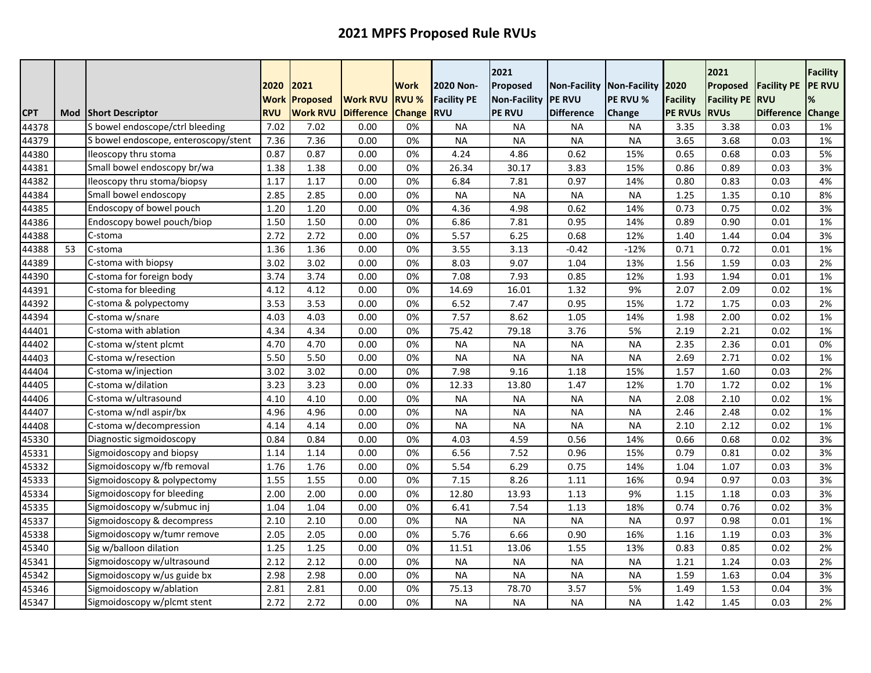|            |     |                                      | 2020       | 2021            |                   | <b>Work</b>   | 2020 Non-          | 2021<br>Proposed    |                   | Non-Facility   Non-Facility   2020 |                 | 2021<br>Proposed   | <b>Facility PE</b> | <b>Facility</b><br><b>PE RVU</b> |
|------------|-----|--------------------------------------|------------|-----------------|-------------------|---------------|--------------------|---------------------|-------------------|------------------------------------|-----------------|--------------------|--------------------|----------------------------------|
|            |     |                                      | Work       | Proposed        | <b>Work RVU</b>   | <b>RVU %</b>  | <b>Facility PE</b> | <b>Non-Facility</b> | <b>PE RVU</b>     | PE RVU %                           | <b>Facility</b> | <b>Facility PE</b> | RVU                | %                                |
| <b>CPT</b> | Mod | <b>Short Descriptor</b>              | <b>RVU</b> | <b>Work RVU</b> | <b>Difference</b> | <b>Change</b> | <b>RVU</b>         | <b>PE RVU</b>       | <b>Difference</b> | Change                             | <b>PE RVUS</b>  | <b>RVUs</b>        | <b>Difference</b>  | Change                           |
| 44378      |     | S bowel endoscope/ctrl bleeding      | 7.02       | 7.02            | 0.00              | 0%            | <b>NA</b>          | <b>NA</b>           | <b>NA</b>         | <b>NA</b>                          | 3.35            | 3.38               | 0.03               | 1%                               |
| 44379      |     | S bowel endoscope, enteroscopy/stent | 7.36       | 7.36            | 0.00              | 0%            | <b>NA</b>          | <b>NA</b>           | <b>NA</b>         | <b>NA</b>                          | 3.65            | 3.68               | 0.03               | 1%                               |
| 44380      |     | Ileoscopy thru stoma                 | 0.87       | 0.87            | 0.00              | 0%            | 4.24               | 4.86                | 0.62              | 15%                                | 0.65            | 0.68               | 0.03               | 5%                               |
| 44381      |     | Small bowel endoscopy br/wa          | 1.38       | 1.38            | 0.00              | 0%            | 26.34              | 30.17               | 3.83              | 15%                                | 0.86            | 0.89               | 0.03               | 3%                               |
| 44382      |     | Ileoscopy thru stoma/biopsy          | 1.17       | 1.17            | 0.00              | 0%            | 6.84               | 7.81                | 0.97              | 14%                                | 0.80            | 0.83               | 0.03               | 4%                               |
| 44384      |     | Small bowel endoscopy                | 2.85       | 2.85            | 0.00              | 0%            | <b>NA</b>          | <b>NA</b>           | <b>NA</b>         | <b>NA</b>                          | 1.25            | 1.35               | 0.10               | 8%                               |
| 44385      |     | Endoscopy of bowel pouch             | 1.20       | 1.20            | 0.00              | 0%            | 4.36               | 4.98                | 0.62              | 14%                                | 0.73            | 0.75               | 0.02               | 3%                               |
| 44386      |     | Endoscopy bowel pouch/biop           | 1.50       | 1.50            | 0.00              | 0%            | 6.86               | 7.81                | 0.95              | 14%                                | 0.89            | 0.90               | 0.01               | 1%                               |
| 44388      |     | C-stoma                              | 2.72       | 2.72            | 0.00              | 0%            | 5.57               | 6.25                | 0.68              | 12%                                | 1.40            | 1.44               | 0.04               | 3%                               |
| 44388      | 53  | C-stoma                              | 1.36       | 1.36            | 0.00              | 0%            | 3.55               | 3.13                | $-0.42$           | $-12%$                             | 0.71            | 0.72               | 0.01               | 1%                               |
| 44389      |     | C-stoma with biopsy                  | 3.02       | 3.02            | 0.00              | 0%            | 8.03               | 9.07                | 1.04              | 13%                                | 1.56            | 1.59               | 0.03               | 2%                               |
| 44390      |     | C-stoma for foreign body             | 3.74       | 3.74            | 0.00              | 0%            | 7.08               | 7.93                | 0.85              | 12%                                | 1.93            | 1.94               | 0.01               | 1%                               |
| 44391      |     | C-stoma for bleeding                 | 4.12       | 4.12            | 0.00              | 0%            | 14.69              | 16.01               | 1.32              | 9%                                 | 2.07            | 2.09               | 0.02               | 1%                               |
| 44392      |     | C-stoma & polypectomy                | 3.53       | 3.53            | 0.00              | 0%            | 6.52               | 7.47                | 0.95              | 15%                                | 1.72            | 1.75               | 0.03               | 2%                               |
| 44394      |     | C-stoma w/snare                      | 4.03       | 4.03            | 0.00              | 0%            | 7.57               | 8.62                | 1.05              | 14%                                | 1.98            | 2.00               | 0.02               | 1%                               |
| 44401      |     | C-stoma with ablation                | 4.34       | 4.34            | 0.00              | 0%            | 75.42              | 79.18               | 3.76              | 5%                                 | 2.19            | 2.21               | 0.02               | 1%                               |
| 44402      |     | C-stoma w/stent plcmt                | 4.70       | 4.70            | 0.00              | 0%            | <b>NA</b>          | <b>NA</b>           | <b>NA</b>         | <b>NA</b>                          | 2.35            | 2.36               | 0.01               | 0%                               |
| 44403      |     | C-stoma w/resection                  | 5.50       | 5.50            | 0.00              | 0%            | <b>NA</b>          | <b>NA</b>           | <b>NA</b>         | <b>NA</b>                          | 2.69            | 2.71               | 0.02               | 1%                               |
| 44404      |     | C-stoma w/injection                  | 3.02       | 3.02            | 0.00              | 0%            | 7.98               | 9.16                | 1.18              | 15%                                | 1.57            | 1.60               | 0.03               | 2%                               |
| 44405      |     | C-stoma w/dilation                   | 3.23       | 3.23            | 0.00              | 0%            | 12.33              | 13.80               | 1.47              | 12%                                | 1.70            | 1.72               | 0.02               | 1%                               |
| 44406      |     | C-stoma w/ultrasound                 | 4.10       | 4.10            | 0.00              | 0%            | <b>NA</b>          | <b>NA</b>           | <b>NA</b>         | <b>NA</b>                          | 2.08            | 2.10               | 0.02               | 1%                               |
| 44407      |     | C-stoma w/ndl aspir/bx               | 4.96       | 4.96            | 0.00              | 0%            | <b>NA</b>          | <b>NA</b>           | <b>NA</b>         | <b>NA</b>                          | 2.46            | 2.48               | 0.02               | 1%                               |
| 44408      |     | C-stoma w/decompression              | 4.14       | 4.14            | 0.00              | 0%            | <b>NA</b>          | <b>NA</b>           | <b>NA</b>         | <b>NA</b>                          | 2.10            | 2.12               | 0.02               | 1%                               |
| 45330      |     | Diagnostic sigmoidoscopy             | 0.84       | 0.84            | 0.00              | 0%            | 4.03               | 4.59                | 0.56              | 14%                                | 0.66            | 0.68               | 0.02               | 3%                               |
| 45331      |     | Sigmoidoscopy and biopsy             | 1.14       | 1.14            | 0.00              | 0%            | 6.56               | 7.52                | 0.96              | 15%                                | 0.79            | 0.81               | 0.02               | 3%                               |
| 45332      |     | Sigmoidoscopy w/fb removal           | 1.76       | 1.76            | 0.00              | 0%            | 5.54               | 6.29                | 0.75              | 14%                                | 1.04            | 1.07               | 0.03               | 3%                               |
| 45333      |     | Sigmoidoscopy & polypectomy          | 1.55       | 1.55            | 0.00              | 0%            | 7.15               | 8.26                | 1.11              | 16%                                | 0.94            | 0.97               | 0.03               | 3%                               |
| 45334      |     | Sigmoidoscopy for bleeding           | 2.00       | 2.00            | 0.00              | 0%            | 12.80              | 13.93               | 1.13              | 9%                                 | 1.15            | 1.18               | 0.03               | 3%                               |
| 45335      |     | Sigmoidoscopy w/submuc inj           | 1.04       | 1.04            | 0.00              | 0%            | 6.41               | 7.54                | 1.13              | 18%                                | 0.74            | 0.76               | 0.02               | 3%                               |
| 45337      |     | Sigmoidoscopy & decompress           | 2.10       | 2.10            | 0.00              | 0%            | <b>NA</b>          | <b>NA</b>           | <b>NA</b>         | <b>NA</b>                          | 0.97            | 0.98               | 0.01               | 1%                               |
| 45338      |     | Sigmoidoscopy w/tumr remove          | 2.05       | 2.05            | 0.00              | 0%            | 5.76               | 6.66                | 0.90              | 16%                                | 1.16            | 1.19               | 0.03               | 3%                               |
| 45340      |     | Sig w/balloon dilation               | 1.25       | 1.25            | 0.00              | 0%            | 11.51              | 13.06               | 1.55              | 13%                                | 0.83            | 0.85               | 0.02               | 2%                               |
| 45341      |     | Sigmoidoscopy w/ultrasound           | 2.12       | 2.12            | 0.00              | 0%            | <b>NA</b>          | <b>NA</b>           | <b>NA</b>         | <b>NA</b>                          | 1.21            | 1.24               | 0.03               | 2%                               |
| 45342      |     | Sigmoidoscopy w/us guide bx          | 2.98       | 2.98            | 0.00              | 0%            | <b>NA</b>          | <b>NA</b>           | <b>NA</b>         | <b>NA</b>                          | 1.59            | 1.63               | 0.04               | 3%                               |
| 45346      |     | Sigmoidoscopy w/ablation             | 2.81       | 2.81            | 0.00              | 0%            | 75.13              | 78.70               | 3.57              | 5%                                 | 1.49            | 1.53               | 0.04               | 3%                               |
| 45347      |     | Sigmoidoscopy w/plcmt stent          | 2.72       | 2.72            | 0.00              | 0%            | <b>NA</b>          | <b>NA</b>           | <b>NA</b>         | <b>NA</b>                          | 1.42            | 1.45               | 0.03               | 2%                               |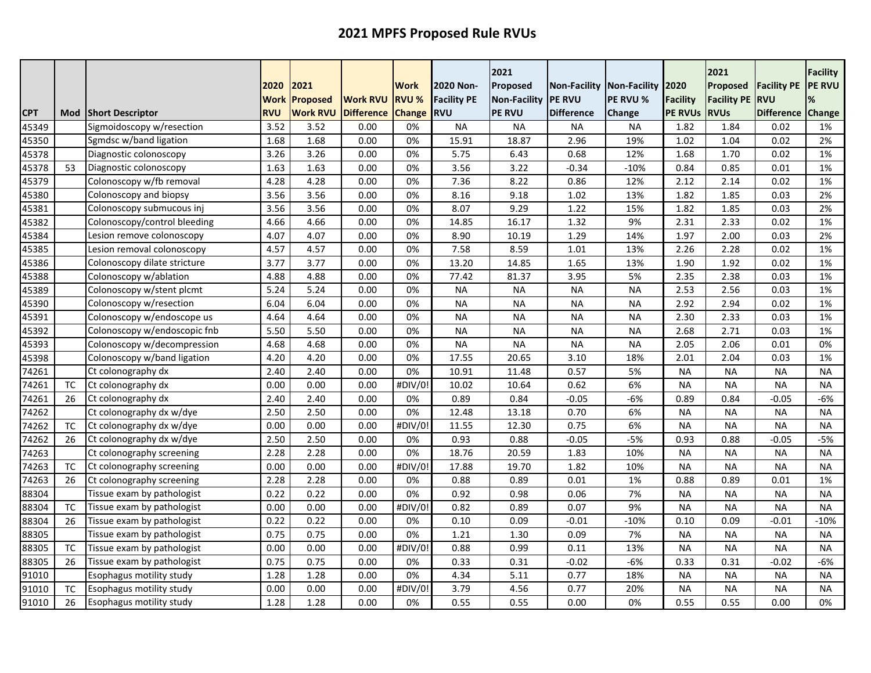|            |           |                                 | 2020               | 2021                               |                                      | <b>Work</b>                   | 2020 Non-                        | 2021<br>Proposed                     | Non-Facility Non-Facility 2020      |                    |                                   | 2021<br>Proposed                  | <b>Facility PE</b>              | <b>Facility</b><br><b>PE RVU</b> |
|------------|-----------|---------------------------------|--------------------|------------------------------------|--------------------------------------|-------------------------------|----------------------------------|--------------------------------------|-------------------------------------|--------------------|-----------------------------------|-----------------------------------|---------------------------------|----------------------------------|
| <b>CPT</b> | Mod       | <b>Short Descriptor</b>         | Work<br><b>RVU</b> | <b>Proposed</b><br><b>Work RVU</b> | <b>Work RVU</b><br><b>Difference</b> | <b>RVU %</b><br><b>Change</b> | <b>Facility PE</b><br><b>RVU</b> | <b>Non-Facility</b><br><b>PE RVU</b> | <b>IPE RVU</b><br><b>Difference</b> | PE RVU %<br>Change | <b>Facility</b><br><b>PE RVUS</b> | <b>Facility PE</b><br><b>RVUs</b> | <b>RVU</b><br><b>Difference</b> | %<br>Change                      |
| 45349      |           | Sigmoidoscopy w/resection       | 3.52               | 3.52                               | 0.00                                 | 0%                            | <b>NA</b>                        | <b>NA</b>                            | <b>NA</b>                           | <b>NA</b>          | 1.82                              | 1.84                              | 0.02                            | 1%                               |
| 45350      |           | Sgmdsc w/band ligation          | 1.68               | 1.68                               | 0.00                                 | 0%                            | 15.91                            | 18.87                                | 2.96                                | 19%                | 1.02                              | 1.04                              | 0.02                            | 2%                               |
| 45378      |           | Diagnostic colonoscopy          | 3.26               | 3.26                               | 0.00                                 | 0%                            | 5.75                             | 6.43                                 | 0.68                                | 12%                | 1.68                              | 1.70                              | 0.02                            | 1%                               |
| 45378      | 53        | Diagnostic colonoscopy          | 1.63               | 1.63                               | 0.00                                 | 0%                            | 3.56                             | 3.22                                 | $-0.34$                             | $-10%$             | 0.84                              | 0.85                              | 0.01                            | 1%                               |
| 45379      |           | Colonoscopy w/fb removal        | 4.28               | 4.28                               | 0.00                                 | 0%                            | 7.36                             | 8.22                                 | 0.86                                | 12%                | 2.12                              | 2.14                              | 0.02                            | 1%                               |
| 45380      |           | Colonoscopy and biopsy          | 3.56               | 3.56                               | 0.00                                 | 0%                            | 8.16                             | 9.18                                 | 1.02                                | 13%                | 1.82                              | 1.85                              | 0.03                            | 2%                               |
| 45381      |           | Colonoscopy submucous inj       | 3.56               | 3.56                               | 0.00                                 | 0%                            | 8.07                             | 9.29                                 | 1.22                                | 15%                | 1.82                              | 1.85                              | 0.03                            | 2%                               |
| 45382      |           | Colonoscopy/control bleeding    | 4.66               | 4.66                               | 0.00                                 | 0%                            | 14.85                            | 16.17                                | 1.32                                | 9%                 | 2.31                              | 2.33                              | 0.02                            | 1%                               |
| 45384      |           | Lesion remove colonoscopy       | 4.07               | 4.07                               | 0.00                                 | 0%                            | 8.90                             | 10.19                                | 1.29                                | 14%                | 1.97                              | 2.00                              | 0.03                            | 2%                               |
| 45385      |           | Lesion removal colonoscopy      | 4.57               | 4.57                               | 0.00                                 | 0%                            | 7.58                             | 8.59                                 | 1.01                                | 13%                | 2.26                              | 2.28                              | 0.02                            | 1%                               |
| 45386      |           | Colonoscopy dilate stricture    | 3.77               | 3.77                               | 0.00                                 | 0%                            | 13.20                            | 14.85                                | 1.65                                | 13%                | 1.90                              | 1.92                              | 0.02                            | 1%                               |
| 45388      |           | Colonoscopy w/ablation          | 4.88               | 4.88                               | 0.00                                 | 0%                            | 77.42                            | 81.37                                | 3.95                                | 5%                 | 2.35                              | 2.38                              | 0.03                            | 1%                               |
| 45389      |           | Colonoscopy w/stent plcmt       | 5.24               | 5.24                               | 0.00                                 | 0%                            | <b>NA</b>                        | <b>NA</b>                            | <b>NA</b>                           | <b>NA</b>          | 2.53                              | 2.56                              | 0.03                            | 1%                               |
| 45390      |           | Colonoscopy w/resection         | 6.04               | 6.04                               | 0.00                                 | 0%                            | <b>NA</b>                        | <b>NA</b>                            | <b>NA</b>                           | <b>NA</b>          | 2.92                              | 2.94                              | 0.02                            | 1%                               |
| 45391      |           | Colonoscopy w/endoscope us      | 4.64               | 4.64                               | 0.00                                 | 0%                            | <b>NA</b>                        | <b>NA</b>                            | <b>NA</b>                           | <b>NA</b>          | 2.30                              | 2.33                              | 0.03                            | 1%                               |
| 45392      |           | Colonoscopy w/endoscopic fnb    | 5.50               | 5.50                               | 0.00                                 | 0%                            | <b>NA</b>                        | <b>NA</b>                            | <b>NA</b>                           | <b>NA</b>          | 2.68                              | 2.71                              | 0.03                            | 1%                               |
| 45393      |           | Colonoscopy w/decompression     | 4.68               | 4.68                               | 0.00                                 | 0%                            | <b>NA</b>                        | <b>NA</b>                            | <b>NA</b>                           | <b>NA</b>          | 2.05                              | 2.06                              | 0.01                            | 0%                               |
| 45398      |           | Colonoscopy w/band ligation     | 4.20               | 4.20                               | 0.00                                 | 0%                            | 17.55                            | 20.65                                | 3.10                                | 18%                | 2.01                              | 2.04                              | 0.03                            | 1%                               |
| 74261      |           | Ct colonography dx              | 2.40               | 2.40                               | 0.00                                 | 0%                            | 10.91                            | 11.48                                | 0.57                                | 5%                 | <b>NA</b>                         | <b>NA</b>                         | <b>NA</b>                       | <b>NA</b>                        |
| 74261      | ТC        | Ct colonography dx              | 0.00               | 0.00                               | 0.00                                 | #DIV/0                        | 10.02                            | 10.64                                | 0.62                                | 6%                 | <b>NA</b>                         | <b>NA</b>                         | <b>NA</b>                       | <b>NA</b>                        |
| 74261      | 26        | Ct colonography dx              | 2.40               | 2.40                               | 0.00                                 | 0%                            | 0.89                             | 0.84                                 | -0.05                               | $-6%$              | 0.89                              | 0.84                              | -0.05                           | -6%                              |
| 74262      |           | Ct colonography dx w/dye        | 2.50               | 2.50                               | 0.00                                 | 0%                            | 12.48                            | 13.18                                | 0.70                                | 6%                 | <b>NA</b>                         | <b>NA</b>                         | <b>NA</b>                       | <b>NA</b>                        |
| 74262      | <b>TC</b> | Ct colonography dx w/dye        | 0.00               | 0.00                               | 0.00                                 | #DIV/0                        | 11.55                            | 12.30                                | 0.75                                | 6%                 | <b>NA</b>                         | <b>NA</b>                         | <b>NA</b>                       | <b>NA</b>                        |
| 74262      | 26        | Ct colonography dx w/dye        | 2.50               | 2.50                               | 0.00                                 | 0%                            | 0.93                             | 0.88                                 | $-0.05$                             | $-5%$              | 0.93                              | 0.88                              | $-0.05$                         | $-5%$                            |
| 74263      |           | Ct colonography screening       | 2.28               | 2.28                               | 0.00                                 | 0%                            | 18.76                            | 20.59                                | 1.83                                | 10%                | <b>NA</b>                         | <b>NA</b>                         | <b>NA</b>                       | <b>NA</b>                        |
| 74263      | <b>TC</b> | Ct colonography screening       | 0.00               | 0.00                               | 0.00                                 | #DIV/0                        | 17.88                            | 19.70                                | 1.82                                | 10%                | <b>NA</b>                         | <b>NA</b>                         | <b>NA</b>                       | <b>NA</b>                        |
| 74263      | 26        | Ct colonography screening       | 2.28               | 2.28                               | 0.00                                 | 0%                            | 0.88                             | 0.89                                 | 0.01                                | 1%                 | 0.88                              | 0.89                              | 0.01                            | 1%                               |
| 88304      |           | Tissue exam by pathologist      | 0.22               | 0.22                               | 0.00                                 | 0%                            | 0.92                             | 0.98                                 | 0.06                                | 7%                 | <b>NA</b>                         | <b>NA</b>                         | <b>NA</b>                       | <b>NA</b>                        |
| 88304      | <b>TC</b> | Tissue exam by pathologist      | 0.00               | 0.00                               | 0.00                                 | #DIV/0                        | 0.82                             | 0.89                                 | 0.07                                | 9%                 | <b>NA</b>                         | <b>NA</b>                         | <b>NA</b>                       | <b>NA</b>                        |
| 88304      | 26        | Tissue exam by pathologist      | 0.22               | 0.22                               | 0.00                                 | 0%                            | 0.10                             | 0.09                                 | $-0.01$                             | $-10%$             | 0.10                              | 0.09                              | $-0.01$                         | $-10%$                           |
| 88305      |           | Tissue exam by pathologist      | 0.75               | 0.75                               | 0.00                                 | 0%                            | 1.21                             | 1.30                                 | 0.09                                | 7%                 | <b>NA</b>                         | <b>NA</b>                         | <b>NA</b>                       | <b>NA</b>                        |
| 88305      | <b>TC</b> | Tissue exam by pathologist      | 0.00               | 0.00                               | 0.00                                 | #DIV/0                        | 0.88                             | 0.99                                 | 0.11                                | 13%                | <b>NA</b>                         | <b>NA</b>                         | <b>NA</b>                       | <b>NA</b>                        |
| 88305      | 26        | Tissue exam by pathologist      | 0.75               | 0.75                               | 0.00                                 | 0%                            | 0.33                             | 0.31                                 | $-0.02$                             | $-6%$              | 0.33                              | 0.31                              | $-0.02$                         | -6%                              |
| 91010      |           | <b>Esophagus motility study</b> | 1.28               | 1.28                               | 0.00                                 | 0%                            | 4.34                             | 5.11                                 | 0.77                                | 18%                | <b>NA</b>                         | <b>NA</b>                         | <b>NA</b>                       | <b>NA</b>                        |
| 91010      | ТC        | Esophagus motility study        | 0.00               | 0.00                               | 0.00                                 | #DIV/0                        | 3.79                             | 4.56                                 | 0.77                                | 20%                | <b>NA</b>                         | <b>NA</b>                         | <b>NA</b>                       | <b>NA</b>                        |
| 91010      | 26        | <b>Esophagus motility study</b> | 1.28               | 1.28                               | 0.00                                 | 0%                            | 0.55                             | 0.55                                 | 0.00                                | 0%                 | 0.55                              | 0.55                              | 0.00                            | 0%                               |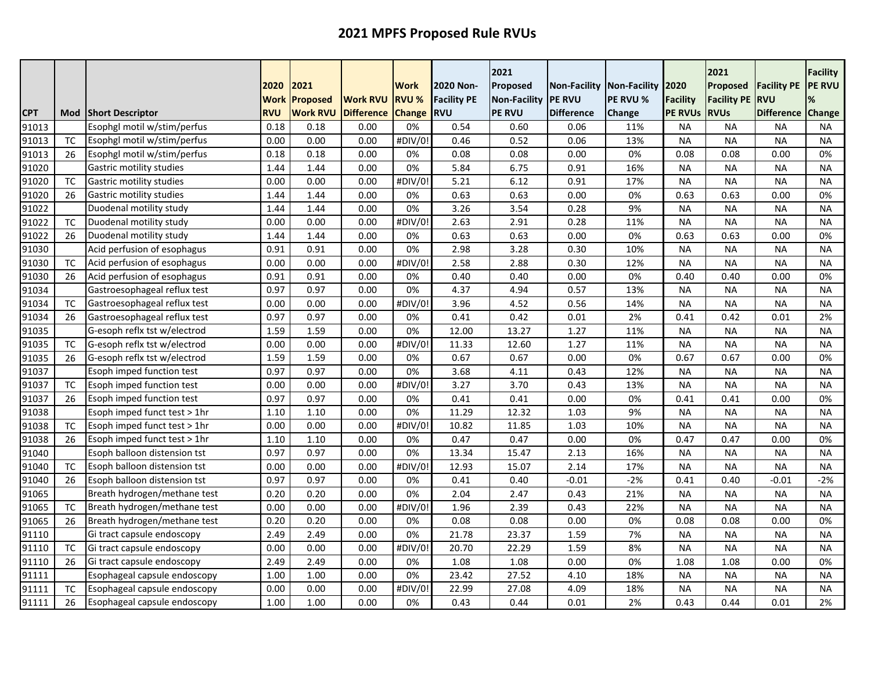|                |                 |                                                              | 2020                      | 2021            |                   | <b>Work</b>   | 2020 Non-          | 2021<br>Proposed    | <b>Non-Facility</b> | Non-Facility | 2020                   | 2021<br>Proposed       | <b>Facility PE</b>     | <b>Facility</b><br><b>PE RVU</b> |
|----------------|-----------------|--------------------------------------------------------------|---------------------------|-----------------|-------------------|---------------|--------------------|---------------------|---------------------|--------------|------------------------|------------------------|------------------------|----------------------------------|
|                |                 |                                                              | <b>Work</b><br><b>RVU</b> | Proposed        | <b>Work RVU</b>   | <b>RVU %</b>  | <b>Facility PE</b> | <b>Non-Facility</b> | <b>PE RVU</b>       | PE RVU %     | <b>Facility</b>        | <b>Facility PE</b>     | <b>RVU</b>             |                                  |
| <b>CPT</b>     | Mod             | <b>Short Descriptor</b>                                      |                           | <b>Work RVU</b> | <b>Difference</b> | <b>Change</b> | <b>RVU</b>         | <b>PE RVU</b>       | <b>Difference</b>   | Change       | <b>PE RVUs</b>         | <b>RVUs</b>            | <b>Difference</b>      | Change                           |
| 91013          |                 | Esophgl motil w/stim/perfus                                  | 0.18                      | 0.18            | 0.00              | 0%            | 0.54               | 0.60                | 0.06                | 11%          | <b>NA</b>              | <b>NA</b>              | <b>NA</b>              | <b>NA</b>                        |
| 91013          | <b>TC</b>       | Esophgl motil w/stim/perfus                                  | 0.00                      | 0.00            | 0.00              | #DIV/0!       | 0.46               | 0.52                | 0.06                | 13%          | <b>NA</b>              | <b>NA</b>              | <b>NA</b>              | NA                               |
| 91013          | 26              | Esophgl motil w/stim/perfus                                  | 0.18                      | 0.18            | 0.00              | 0%            | 0.08               | 0.08                | 0.00                | 0%<br>16%    | 0.08                   | 0.08                   | 0.00                   | 0%                               |
| 91020          | <b>TC</b>       | Gastric motility studies                                     | 1.44                      | 1.44            | 0.00              | 0%<br>#DIV/0! | 5.84<br>5.21       | 6.75<br>6.12        | 0.91                |              | <b>NA</b>              | <b>NA</b><br><b>NA</b> | <b>NA</b>              | <b>NA</b>                        |
| 91020<br>91020 | 26              | Gastric motility studies<br>Gastric motility studies         | 0.00<br>1.44              | 0.00<br>1.44    | 0.00<br>0.00      | 0%            | 0.63               | 0.63                | 0.91<br>0.00        | 17%<br>0%    | <b>NA</b><br>0.63      | 0.63                   | <b>NA</b><br>0.00      | <b>NA</b><br>0%                  |
|                |                 |                                                              |                           |                 | 0.00              | 0%            | 3.26               | 3.54                |                     | 9%           |                        |                        | <b>NA</b>              |                                  |
| 91022<br>91022 | <b>TC</b>       | Duodenal motility study                                      | 1.44<br>0.00              | 1.44<br>0.00    | 0.00              | #DIV/0        | 2.63               | 2.91                | 0.28<br>0.28        | 11%          | <b>NA</b><br><b>NA</b> | <b>NA</b><br><b>NA</b> | <b>NA</b>              | <b>NA</b>                        |
| 91022          | 26              | Duodenal motility study                                      |                           |                 | 0.00              |               | 0.63               | 0.63                |                     | 0%           |                        |                        | 0.00                   | <b>NA</b><br>0%                  |
|                |                 | Duodenal motility study<br>Acid perfusion of esophagus       | 1.44<br>0.91              | 1.44            | 0.00              | 0%<br>0%      | 2.98               | 3.28                | 0.00                | 10%          | 0.63                   | 0.63<br><b>NA</b>      | <b>NA</b>              |                                  |
| 91030          |                 |                                                              |                           | 0.91            |                   |               |                    |                     | 0.30                |              | <b>NA</b>              |                        |                        | <b>NA</b>                        |
| 91030<br>91030 | <b>TC</b><br>26 | Acid perfusion of esophagus                                  | 0.00<br>0.91              | 0.00<br>0.91    | 0.00<br>0.00      | #DIV/0<br>0%  | 2.58               | 2.88<br>0.40        | 0.30                | 12%<br>0%    | <b>NA</b><br>0.40      | <b>NA</b><br>0.40      | <b>NA</b><br>0.00      | <b>NA</b><br>0%                  |
|                |                 | Acid perfusion of esophagus                                  | 0.97                      |                 | 0.00              | 0%            | 0.40               |                     | 0.00                |              | <b>NA</b>              |                        | <b>NA</b>              |                                  |
| 91034          | <b>TC</b>       | Gastroesophageal reflux test<br>Gastroesophageal reflux test |                           | 0.97            |                   |               | 4.37<br>3.96       | 4.94<br>4.52        | 0.57                | 13%<br>14%   |                        | <b>NA</b>              |                        | <b>NA</b>                        |
| 91034          |                 | Gastroesophageal reflux test                                 | 0.00                      | 0.00            | 0.00              | #DIV/0!       |                    | 0.42                | 0.56                | 2%           | <b>NA</b>              | <b>NA</b>              | <b>NA</b><br>0.01      | <b>NA</b><br>2%                  |
| 91034<br>91035 | 26              | G-esoph reflx tst w/electrod                                 | 0.97<br>1.59              | 0.97            | 0.00<br>0.00      | 0%<br>0%      | 0.41<br>12.00      | 13.27               | 0.01                | 11%          | 0.41<br><b>NA</b>      | 0.42<br><b>NA</b>      | <b>NA</b>              | <b>NA</b>                        |
|                | <b>TC</b>       | G-esoph reflx tst w/electrod                                 |                           | 1.59            | 0.00              | #DIV/0!       |                    | 12.60               | 1.27                |              |                        | <b>NA</b>              | <b>NA</b>              | <b>NA</b>                        |
| 91035<br>91035 | 26              | G-esoph reflx tst w/electrod                                 | 0.00<br>1.59              | 0.00<br>1.59    | 0.00              | 0%            | 11.33<br>0.67      | 0.67                | 1.27<br>0.00        | 11%<br>0%    | <b>NA</b><br>0.67      | 0.67                   | 0.00                   | 0%                               |
| 91037          |                 | Esoph imped function test                                    | 0.97                      | 0.97            | 0.00              | 0%            |                    |                     |                     | 12%          |                        |                        |                        |                                  |
|                | <b>TC</b>       | Esoph imped function test                                    | 0.00                      |                 |                   |               | 3.68               | 4.11<br>3.70        | 0.43                | 13%          | <b>NA</b><br><b>NA</b> | <b>NA</b>              | <b>NA</b><br><b>NA</b> | <b>NA</b><br><b>NA</b>           |
| 91037          | 26              | Esoph imped function test                                    | 0.97                      | 0.00<br>0.97    | 0.00<br>0.00      | #DIV/0        | 3.27               |                     | 0.43                | 0%           | 0.41                   | <b>NA</b>              | 0.00                   |                                  |
| 91037<br>91038 |                 | Esoph imped funct test > 1hr                                 | 1.10                      | 1.10            | 0.00              | 0%<br>0%      | 0.41<br>11.29      | 0.41<br>12.32       | 0.00<br>1.03        | 9%           | <b>NA</b>              | 0.41<br><b>NA</b>      | <b>NA</b>              | 0%                               |
| 91038          | <b>TC</b>       | Esoph imped funct test > 1hr                                 | 0.00                      | 0.00            | 0.00              | #DIV/0!       | 10.82              | 11.85               | 1.03                | 10%          | <b>NA</b>              | <b>NA</b>              | <b>NA</b>              | NA.                              |
| 91038          | 26              | Esoph imped funct test > 1hr                                 | 1.10                      | 1.10            | 0.00              | 0%            | 0.47               | 0.47                | 0.00                | 0%           | 0.47                   | 0.47                   | 0.00                   | <b>NA</b><br>0%                  |
| 91040          |                 | Esoph balloon distension tst                                 | 0.97                      | 0.97            | 0.00              | 0%            | 13.34              | 15.47               | 2.13                | 16%          | <b>NA</b>              | <b>NA</b>              | <b>NA</b>              | <b>NA</b>                        |
| 91040          | <b>TC</b>       | Esoph balloon distension tst                                 | 0.00                      | 0.00            | 0.00              | #DIV/0!       | 12.93              | 15.07               | 2.14                | 17%          | <b>NA</b>              | <b>NA</b>              | <b>NA</b>              | <b>NA</b>                        |
| 91040          | 26              | Esoph balloon distension tst                                 | 0.97                      | 0.97            | 0.00              | 0%            | 0.41               | 0.40                | $-0.01$             | $-2%$        | 0.41                   | 0.40                   | $-0.01$                | -2%                              |
| 91065          |                 | Breath hydrogen/methane test                                 | 0.20                      | 0.20            | 0.00              | 0%            | 2.04               | 2.47                | 0.43                | 21%          | <b>NA</b>              | <b>NA</b>              | <b>NA</b>              | <b>NA</b>                        |
| 91065          | <b>TC</b>       | Breath hydrogen/methane test                                 | 0.00                      | 0.00            | 0.00              | #DIV/0!       | 1.96               | 2.39                | 0.43                | 22%          | <b>NA</b>              | <b>NA</b>              | <b>NA</b>              | <b>NA</b>                        |
| 91065          | 26              | Breath hydrogen/methane test                                 | 0.20                      | 0.20            | 0.00              | 0%            | 0.08               | 0.08                | 0.00                | 0%           | 0.08                   | 0.08                   | 0.00                   | 0%                               |
| 91110          |                 | Gi tract capsule endoscopy                                   | 2.49                      | 2.49            | 0.00              | 0%            | 21.78              | 23.37               | 1.59                | 7%           | <b>NA</b>              | <b>NA</b>              | <b>NA</b>              | <b>NA</b>                        |
| 91110          | <b>TC</b>       | Gi tract capsule endoscopy                                   | 0.00                      | 0.00            | 0.00              | #DIV/0        | 20.70              | 22.29               | 1.59                | 8%           | <b>NA</b>              | <b>NA</b>              | <b>NA</b>              | <b>NA</b>                        |
| 91110          |                 | Gi tract capsule endoscopy                                   | 2.49                      | 2.49            | 0.00              | 0%            | 1.08               | 1.08                | 0.00                | 0%           | 1.08                   | 1.08                   | 0.00                   | 0%                               |
| 91111          | 26              | Esophageal capsule endoscopy                                 | 1.00                      | 1.00            | 0.00              | 0%            | 23.42              | 27.52               | 4.10                | 18%          | <b>NA</b>              | <b>NA</b>              | <b>NA</b>              | <b>NA</b>                        |
| 91111          | TC              | Esophageal capsule endoscopy                                 | 0.00                      | 0.00            | 0.00              | #DIV/0        | 22.99              | 27.08               | 4.09                | 18%          | <b>NA</b>              | <b>NA</b>              | <b>NA</b>              | NA                               |
|                | 26              |                                                              | 1.00                      | 1.00            | 0.00              | 0%            | 0.43               | 0.44                | 0.01                | 2%           | 0.43                   | 0.44                   | 0.01                   | 2%                               |
| 91111          |                 | Esophageal capsule endoscopy                                 |                           |                 |                   |               |                    |                     |                     |              |                        |                        |                        |                                  |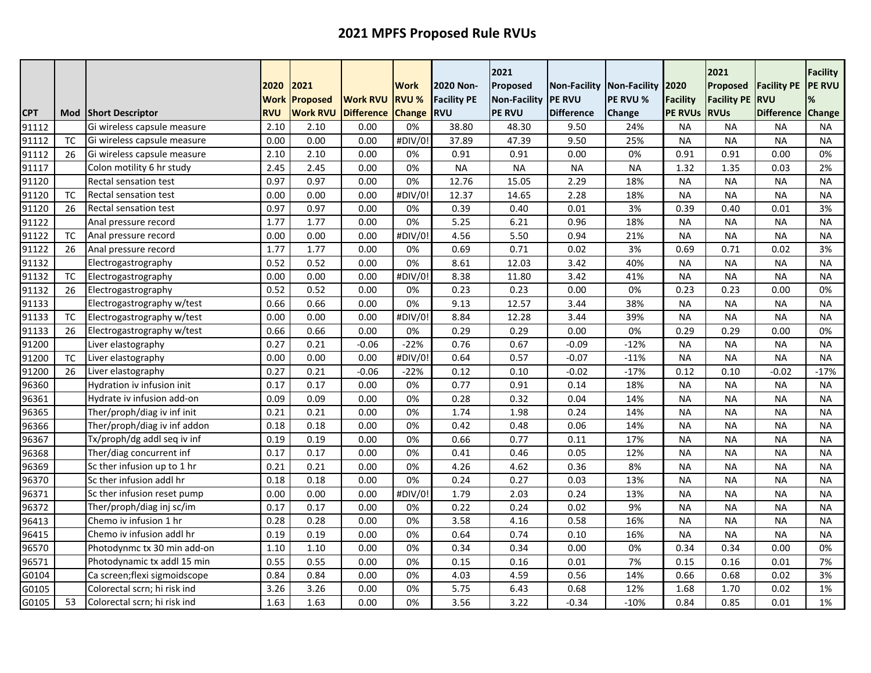|            |           |                              | 2020        | 2021            |                   | Work          | 2020 Non-          | 2021<br>Proposed    | Non-Facility Non-Facility |               | 2020            | 2021<br>Proposed   | <b>Facility PE</b> | <b>Facility</b><br><b>PE RVU</b> |
|------------|-----------|------------------------------|-------------|-----------------|-------------------|---------------|--------------------|---------------------|---------------------------|---------------|-----------------|--------------------|--------------------|----------------------------------|
|            |           |                              | <b>Work</b> | <b>Proposed</b> | <b>Work RVU</b>   | <b>RVU %</b>  | <b>Facility PE</b> | <b>Non-Facility</b> | <b>PE RVU</b>             | PE RVU %      | <b>Facility</b> | <b>Facility PE</b> | <b>RVU</b>         |                                  |
| <b>CPT</b> | Mod       | <b>Short Descriptor</b>      | <b>RVU</b>  | <b>Work RVU</b> | <b>Difference</b> | <b>Change</b> | <b>RVU</b>         | <b>PE RVU</b>       | <b>Difference</b>         | <b>Change</b> | <b>PE RVUS</b>  | <b>RVUs</b>        | <b>Difference</b>  | Change                           |
| 91112      |           | Gi wireless capsule measure  | 2.10        | 2.10            | 0.00              | 0%            | 38.80              | 48.30               | 9.50                      | 24%           | <b>NA</b>       | <b>NA</b>          | <b>NA</b>          | <b>NA</b>                        |
| 91112      | ТC        | Gi wireless capsule measure  | 0.00        | 0.00            | 0.00              | #DIV/0!       | 37.89              | 47.39               | 9.50                      | 25%           | <b>NA</b>       | <b>NA</b>          | <b>NA</b>          | NA                               |
| 91112      | 26        | Gi wireless capsule measure  | 2.10        | 2.10            | 0.00              | 0%            | 0.91               | 0.91                | 0.00                      | 0%            | 0.91            | 0.91               | 0.00               | 0%                               |
| 91117      |           | Colon motility 6 hr study    | 2.45        | 2.45            | 0.00              | 0%            | <b>NA</b>          | <b>NA</b>           | <b>NA</b>                 | <b>NA</b>     | 1.32            | 1.35               | 0.03               | 2%                               |
| 91120      |           | Rectal sensation test        | 0.97        | 0.97            | 0.00              | 0%            | 12.76              | 15.05               | 2.29                      | 18%           | <b>NA</b>       | <b>NA</b>          | <b>NA</b>          | <b>NA</b>                        |
| 91120      | <b>TC</b> | <b>Rectal sensation test</b> | 0.00        | 0.00            | 0.00              | #DIV/0        | 12.37              | 14.65               | 2.28                      | 18%           | <b>NA</b>       | <b>NA</b>          | <b>NA</b>          | <b>NA</b>                        |
| 91120      | 26        | <b>Rectal sensation test</b> | 0.97        | 0.97            | 0.00              | 0%            | 0.39               | 0.40                | 0.01                      | 3%            | 0.39            | 0.40               | 0.01               | 3%                               |
| 91122      |           | Anal pressure record         | 1.77        | 1.77            | 0.00              | 0%            | 5.25               | 6.21                | 0.96                      | 18%           | <b>NA</b>       | <b>NA</b>          | <b>NA</b>          | <b>NA</b>                        |
| 91122      | <b>TC</b> | Anal pressure record         | 0.00        | 0.00            | 0.00              | #DIV/0!       | 4.56               | 5.50                | 0.94                      | 21%           | <b>NA</b>       | <b>NA</b>          | <b>NA</b>          | <b>NA</b>                        |
| 91122      | 26        | Anal pressure record         | 1.77        | 1.77            | 0.00              | 0%            | 0.69               | 0.71                | 0.02                      | 3%            | 0.69            | 0.71               | 0.02               | 3%                               |
| 91132      |           | Electrogastrography          | 0.52        | 0.52            | 0.00              | 0%            | 8.61               | 12.03               | 3.42                      | 40%           | <b>NA</b>       | <b>NA</b>          | <b>NA</b>          | <b>NA</b>                        |
| 91132      | <b>TC</b> | Electrogastrography          | 0.00        | 0.00            | 0.00              | #DIV/0        | 8.38               | 11.80               | 3.42                      | 41%           | <b>NA</b>       | <b>NA</b>          | <b>NA</b>          | <b>NA</b>                        |
| 91132      | 26        | Electrogastrography          | 0.52        | 0.52            | 0.00              | 0%            | 0.23               | 0.23                | 0.00                      | 0%            | 0.23            | 0.23               | 0.00               | 0%                               |
| 91133      |           | Electrogastrography w/test   | 0.66        | 0.66            | 0.00              | 0%            | 9.13               | 12.57               | 3.44                      | 38%           | <b>NA</b>       | <b>NA</b>          | <b>NA</b>          | <b>NA</b>                        |
| 91133      | <b>TC</b> | Electrogastrography w/test   | 0.00        | 0.00            | 0.00              | #DIV/0!       | 8.84               | 12.28               | 3.44                      | 39%           | <b>NA</b>       | <b>NA</b>          | <b>NA</b>          | <b>NA</b>                        |
| 91133      | 26        | Electrogastrography w/test   | 0.66        | 0.66            | 0.00              | 0%            | 0.29               | 0.29                | 0.00                      | 0%            | 0.29            | 0.29               | 0.00               | 0%                               |
| 91200      |           | Liver elastography           | 0.27        | 0.21            | $-0.06$           | $-22%$        | 0.76               | 0.67                | $-0.09$                   | $-12%$        | <b>NA</b>       | <b>NA</b>          | <b>NA</b>          | <b>NA</b>                        |
| 91200      | <b>TC</b> | Liver elastography           | 0.00        | 0.00            | 0.00              | #DIV/0!       | 0.64               | 0.57                | $-0.07$                   | $-11%$        | <b>NA</b>       | <b>NA</b>          | <b>NA</b>          | <b>NA</b>                        |
| 91200      | 26        | Liver elastography           | 0.27        | 0.21            | $-0.06$           | $-22%$        | 0.12               | 0.10                | $-0.02$                   | $-17%$        | 0.12            | 0.10               | $-0.02$            | $-17%$                           |
| 96360      |           | Hydration iv infusion init   | 0.17        | 0.17            | 0.00              | 0%            | 0.77               | 0.91                | 0.14                      | 18%           | <b>NA</b>       | <b>NA</b>          | <b>NA</b>          | <b>NA</b>                        |
| 96361      |           | Hydrate iv infusion add-on   | 0.09        | 0.09            | 0.00              | 0%            | 0.28               | 0.32                | 0.04                      | 14%           | <b>NA</b>       | <b>NA</b>          | <b>NA</b>          | <b>NA</b>                        |
| 96365      |           | Ther/proph/diag iv inf init  | 0.21        | 0.21            | 0.00              | 0%            | 1.74               | 1.98                | 0.24                      | 14%           | <b>NA</b>       | <b>NA</b>          | <b>NA</b>          | <b>NA</b>                        |
| 96366      |           | Ther/proph/diag iv inf addon | 0.18        | 0.18            | 0.00              | 0%            | 0.42               | 0.48                | 0.06                      | 14%           | <b>NA</b>       | <b>NA</b>          | <b>NA</b>          | <b>NA</b>                        |
| 96367      |           | Tx/proph/dg addl seq iv inf  | 0.19        | 0.19            | 0.00              | 0%            | 0.66               | 0.77                | 0.11                      | 17%           | <b>NA</b>       | <b>NA</b>          | <b>NA</b>          | <b>NA</b>                        |
| 96368      |           | Ther/diag concurrent inf     | 0.17        | 0.17            | 0.00              | 0%            | 0.41               | 0.46                | 0.05                      | 12%           | <b>NA</b>       | <b>NA</b>          | <b>NA</b>          | <b>NA</b>                        |
| 96369      |           | Sc ther infusion up to 1 hr  | 0.21        | 0.21            | 0.00              | 0%            | 4.26               | 4.62                | 0.36                      | 8%            | <b>NA</b>       | <b>NA</b>          | <b>NA</b>          | <b>NA</b>                        |
| 96370      |           | Sc ther infusion addl hr     | 0.18        | 0.18            | 0.00              | 0%            | 0.24               | 0.27                | 0.03                      | 13%           | <b>NA</b>       | <b>NA</b>          | <b>NA</b>          | <b>NA</b>                        |
| 96371      |           | Sc ther infusion reset pump  | 0.00        | 0.00            | 0.00              | #DIV/0!       | 1.79               | 2.03                | 0.24                      | 13%           | <b>NA</b>       | <b>NA</b>          | <b>NA</b>          | <b>NA</b>                        |
| 96372      |           | Ther/proph/diag inj sc/im    | 0.17        | 0.17            | 0.00              | 0%            | 0.22               | 0.24                | 0.02                      | 9%            | <b>NA</b>       | <b>NA</b>          | <b>NA</b>          | <b>NA</b>                        |
| 96413      |           | Chemo iv infusion 1 hr       | 0.28        | 0.28            | 0.00              | 0%            | 3.58               | 4.16                | 0.58                      | 16%           | <b>NA</b>       | <b>NA</b>          | <b>NA</b>          | <b>NA</b>                        |
| 96415      |           | Chemo iv infusion addl hr    | 0.19        | 0.19            | 0.00              | 0%            | 0.64               | 0.74                | 0.10                      | 16%           | <b>NA</b>       | <b>NA</b>          | <b>NA</b>          | <b>NA</b>                        |
| 96570      |           | Photodynmc tx 30 min add-on  | 1.10        | 1.10            | 0.00              | 0%            | 0.34               | 0.34                | 0.00                      | 0%            | 0.34            | 0.34               | 0.00               | 0%                               |
| 96571      |           | Photodynamic tx addl 15 min  | 0.55        | 0.55            | 0.00              | 0%            | 0.15               | 0.16                | 0.01                      | 7%            | 0.15            | 0.16               | 0.01               | 7%                               |
| G0104      |           | Ca screen;flexi sigmoidscope | 0.84        | 0.84            | 0.00              | 0%            | 4.03               | 4.59                | 0.56                      | 14%           | 0.66            | 0.68               | 0.02               | 3%                               |
| G0105      |           | Colorectal scrn; hi risk ind | 3.26        | 3.26            | 0.00              | 0%            | 5.75               | 6.43                | 0.68                      | 12%           | 1.68            | 1.70               | 0.02               | 1%                               |
| G0105      | 53        | Colorectal scrn; hi risk ind | 1.63        | 1.63            | 0.00              | 0%            | 3.56               | 3.22                | $-0.34$                   | $-10%$        | 0.84            | 0.85               | 0.01               | 1%                               |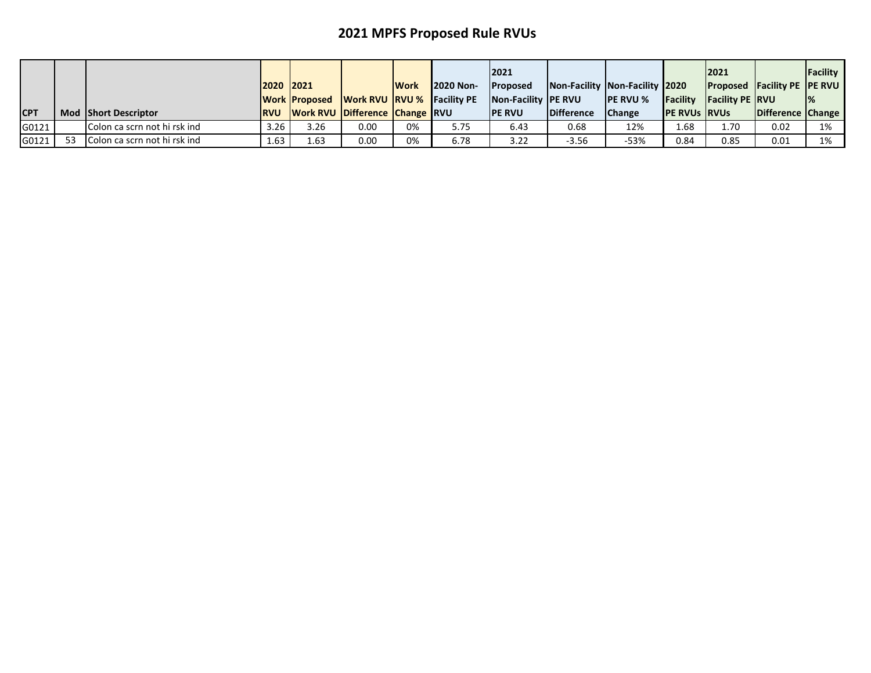|            |    |                              | 2020 2021   |      |                                                 | <b>Work</b> | <b>2020 Non-</b> | 2021<br><b>IProposed</b>    | Non-Facility Non-Facility 2020 |                  |                       | 2021                     | <b>Proposed Facility PE PE RVU</b> | Facility |
|------------|----|------------------------------|-------------|------|-------------------------------------------------|-------------|------------------|-----------------------------|--------------------------------|------------------|-----------------------|--------------------------|------------------------------------|----------|
|            |    |                              |             |      | <b>Work Proposed Work RVU RVU % Facility PE</b> |             |                  | <b>Non-Facility IPE RVU</b> |                                | <b>IPE RVU %</b> | <b>IFacility</b>      | <b>IFacility PE IRVU</b> |                                    |          |
| <b>CPT</b> |    | <b>Mod Short Descriptor</b>  | <b>IRVU</b> |      | <b>Work RVU Difference Change RVU</b>           |             |                  | <b>IPE RVU</b>              | <b>Difference</b>              | <b>Change</b>    | <b>IPE RVUS IRVUS</b> |                          | Difference Change                  |          |
| G0121      |    | Colon ca scrn not hi rsk ind | 3.26        | 3.26 | 0.00                                            | 0%          | 5.75             | 6.43                        | 0.68                           | 12%              | 1.68                  | 1.70                     | 0.02                               | 1%       |
| G0121      | 53 | Colon ca scrn not hi rsk ind | 1.63        | 1.63 | 0.00                                            | 0%          | 6.78             | 3.22                        | $-3.56$                        | $-53%$           | 0.84                  | 0.85                     | 0.01                               | 1%       |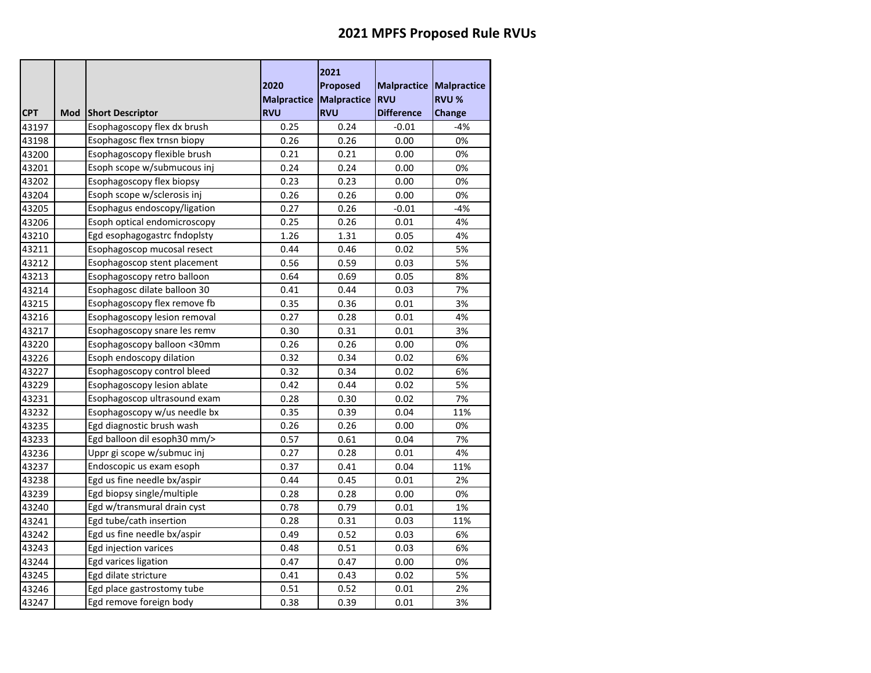|            |     |                              | 2020<br><b>Malpractice</b> | 2021<br>Proposed<br>Malpractice | <b>Malpractice Malpractice</b><br><b>RVU</b> | <b>RVU %</b>  |
|------------|-----|------------------------------|----------------------------|---------------------------------|----------------------------------------------|---------------|
| <b>CPT</b> | Mod | <b>Short Descriptor</b>      | <b>RVU</b>                 | <b>RVU</b>                      | <b>Difference</b>                            | <b>Change</b> |
| 43197      |     | Esophagoscopy flex dx brush  | 0.25                       | 0.24                            | $-0.01$                                      | $-4%$         |
| 43198      |     | Esophagosc flex trnsn biopy  | 0.26                       | 0.26                            | 0.00                                         | 0%            |
| 43200      |     | Esophagoscopy flexible brush | 0.21                       | 0.21                            | 0.00                                         | 0%            |
| 43201      |     | Esoph scope w/submucous inj  | 0.24                       | 0.24                            | 0.00                                         | 0%            |
| 43202      |     | Esophagoscopy flex biopsy    | 0.23                       | 0.23                            | 0.00                                         | 0%            |
| 43204      |     | Esoph scope w/sclerosis inj  | 0.26                       | 0.26                            | 0.00                                         | 0%            |
| 43205      |     | Esophagus endoscopy/ligation | 0.27                       | 0.26                            | -0.01                                        | $-4%$         |
| 43206      |     | Esoph optical endomicroscopy | 0.25                       | 0.26                            | 0.01                                         | 4%            |
| 43210      |     | Egd esophagogastrc fndoplsty | 1.26                       | 1.31                            | 0.05                                         | 4%            |
| 43211      |     | Esophagoscop mucosal resect  | 0.44                       | 0.46                            | 0.02                                         | 5%            |
| 43212      |     | Esophagoscop stent placement | 0.56                       | 0.59                            | 0.03                                         | 5%            |
| 43213      |     | Esophagoscopy retro balloon  | 0.64                       | 0.69                            | 0.05                                         | 8%            |
| 43214      |     | Esophagosc dilate balloon 30 | 0.41                       | 0.44                            | 0.03                                         | 7%            |
| 43215      |     | Esophagoscopy flex remove fb | 0.35                       | 0.36                            | 0.01                                         | 3%            |
| 43216      |     | Esophagoscopy lesion removal | 0.27                       | 0.28                            | 0.01                                         | 4%            |
| 43217      |     | Esophagoscopy snare les remv | 0.30                       | 0.31                            | 0.01                                         | 3%            |
| 43220      |     | Esophagoscopy balloon <30mm  | 0.26                       | 0.26                            | 0.00                                         | 0%            |
| 43226      |     | Esoph endoscopy dilation     | 0.32                       | 0.34                            | 0.02                                         | 6%            |
| 43227      |     | Esophagoscopy control bleed  | 0.32                       | 0.34                            | 0.02                                         | 6%            |
| 43229      |     | Esophagoscopy lesion ablate  | 0.42                       | 0.44                            | 0.02                                         | 5%            |
| 43231      |     | Esophagoscop ultrasound exam | 0.28                       | 0.30                            | 0.02                                         | 7%            |
| 43232      |     | Esophagoscopy w/us needle bx | 0.35                       | 0.39                            | 0.04                                         | 11%           |
| 43235      |     | Egd diagnostic brush wash    | 0.26                       | 0.26                            | 0.00                                         | 0%            |
| 43233      |     | Egd balloon dil esoph30 mm/> | 0.57                       | 0.61                            | 0.04                                         | 7%            |
| 43236      |     | Uppr gi scope w/submuc inj   | 0.27                       | 0.28                            | 0.01                                         | 4%            |
| 43237      |     | Endoscopic us exam esoph     | 0.37                       | 0.41                            | 0.04                                         | 11%           |
| 43238      |     | Egd us fine needle bx/aspir  | 0.44                       | 0.45                            | 0.01                                         | 2%            |
| 43239      |     | Egd biopsy single/multiple   | 0.28                       | 0.28                            | 0.00                                         | 0%            |
| 43240      |     | Egd w/transmural drain cyst  | 0.78                       | 0.79                            | 0.01                                         | 1%            |
| 43241      |     | Egd tube/cath insertion      | 0.28                       | 0.31                            | 0.03                                         | 11%           |
| 43242      |     | Egd us fine needle bx/aspir  | 0.49                       | 0.52                            | 0.03                                         | 6%            |
| 43243      |     | Egd injection varices        | 0.48                       | 0.51                            | 0.03                                         | 6%            |
| 43244      |     | Egd varices ligation         | 0.47                       | 0.47                            | 0.00                                         | 0%            |
| 43245      |     | Egd dilate stricture         | 0.41                       | 0.43                            | 0.02                                         | 5%            |
| 43246      |     | Egd place gastrostomy tube   | 0.51                       | 0.52                            | 0.01                                         | 2%            |
| 43247      |     | Egd remove foreign body      | 0.38                       | 0.39                            | 0.01                                         | 3%            |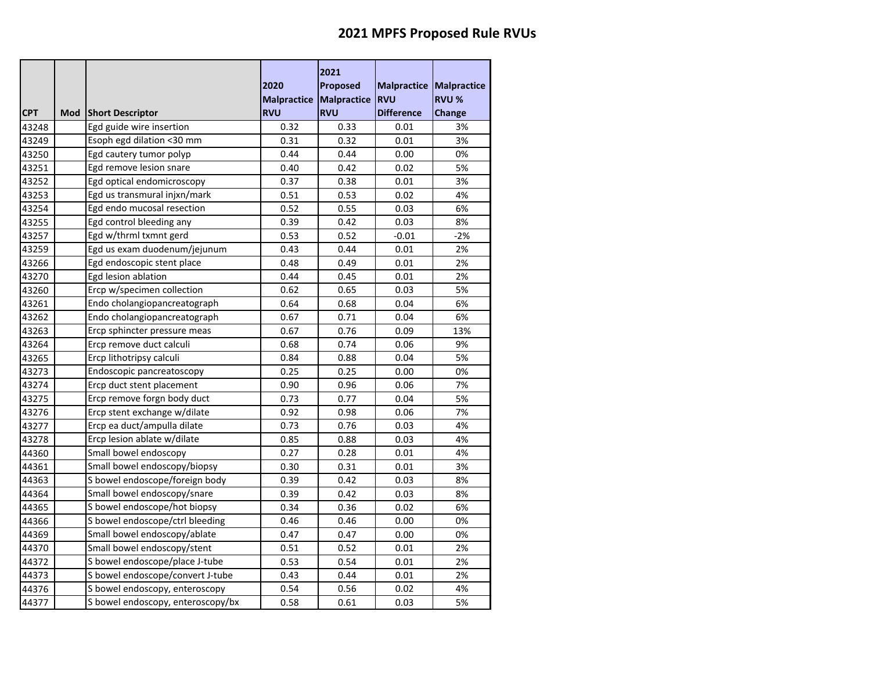|            |     |                                   | 2020                    | 2021<br>Proposed | Malpractice       | <b>Malpractice</b> |
|------------|-----|-----------------------------------|-------------------------|------------------|-------------------|--------------------|
|            |     |                                   | Malpractice Malpractice |                  | <b>RVU</b>        | <b>RVU %</b>       |
| <b>CPT</b> | Mod | <b>Short Descriptor</b>           | <b>RVU</b>              | <b>RVU</b>       | <b>Difference</b> | Change             |
| 43248      |     | Egd guide wire insertion          | 0.32                    | 0.33             | 0.01              | 3%                 |
| 43249      |     | Esoph egd dilation <30 mm         | 0.31                    | 0.32             | 0.01              | 3%                 |
| 43250      |     | Egd cautery tumor polyp           | 0.44                    | 0.44             | 0.00              | 0%                 |
| 43251      |     | Egd remove lesion snare           | 0.40                    | 0.42             | 0.02              | 5%                 |
| 43252      |     | Egd optical endomicroscopy        | 0.37                    | 0.38             | 0.01              | 3%                 |
| 43253      |     | Egd us transmural injxn/mark      | 0.51                    | 0.53             | 0.02              | 4%                 |
| 43254      |     | Egd endo mucosal resection        | 0.52                    | 0.55             | 0.03              | 6%                 |
| 43255      |     | Egd control bleeding any          | 0.39                    | 0.42             | 0.03              | 8%                 |
| 43257      |     | Egd w/thrml txmnt gerd            | 0.53                    | 0.52             | $-0.01$           | $-2%$              |
| 43259      |     | Egd us exam duodenum/jejunum      | 0.43                    | 0.44             | 0.01              | 2%                 |
| 43266      |     | Egd endoscopic stent place        | 0.48                    | 0.49             | 0.01              | 2%                 |
| 43270      |     | Egd lesion ablation               | 0.44                    | 0.45             | 0.01              | 2%                 |
| 43260      |     | Ercp w/specimen collection        | 0.62                    | 0.65             | 0.03              | 5%                 |
| 43261      |     | Endo cholangiopancreatograph      | 0.64                    | 0.68             | 0.04              | 6%                 |
| 43262      |     | Endo cholangiopancreatograph      | 0.67                    | 0.71             | 0.04              | 6%                 |
| 43263      |     | Ercp sphincter pressure meas      | 0.67                    | 0.76             | 0.09              | 13%                |
| 43264      |     | Ercp remove duct calculi          | 0.68                    | 0.74             | 0.06              | 9%                 |
| 43265      |     | Ercp lithotripsy calculi          | 0.84                    | 0.88             | 0.04              | 5%                 |
| 43273      |     | Endoscopic pancreatoscopy         | 0.25                    | 0.25             | 0.00              | 0%                 |
| 43274      |     | Ercp duct stent placement         | 0.90                    | 0.96             | 0.06              | 7%                 |
| 43275      |     | Ercp remove forgn body duct       | 0.73                    | 0.77             | 0.04              | 5%                 |
| 43276      |     | Ercp stent exchange w/dilate      | 0.92                    | 0.98             | 0.06              | 7%                 |
| 43277      |     | Ercp ea duct/ampulla dilate       | 0.73                    | 0.76             | 0.03              | 4%                 |
| 43278      |     | Ercp lesion ablate w/dilate       | 0.85                    | 0.88             | 0.03              | 4%                 |
| 44360      |     | Small bowel endoscopy             | 0.27                    | 0.28             | 0.01              | 4%                 |
| 44361      |     | Small bowel endoscopy/biopsy      | 0.30                    | 0.31             | 0.01              | 3%                 |
| 44363      |     | S bowel endoscope/foreign body    | 0.39                    | 0.42             | 0.03              | 8%                 |
| 44364      |     | Small bowel endoscopy/snare       | 0.39                    | 0.42             | 0.03              | 8%                 |
| 44365      |     | S bowel endoscope/hot biopsy      | 0.34                    | 0.36             | 0.02              | 6%                 |
| 44366      |     | S bowel endoscope/ctrl bleeding   | 0.46                    | 0.46             | 0.00              | 0%                 |
| 44369      |     | Small bowel endoscopy/ablate      | 0.47                    | 0.47             | 0.00              | 0%                 |
| 44370      |     | Small bowel endoscopy/stent       | 0.51                    | 0.52             | 0.01              | 2%                 |
| 44372      |     | S bowel endoscope/place J-tube    | 0.53                    | 0.54             | 0.01              | 2%                 |
| 44373      |     | S bowel endoscope/convert J-tube  | 0.43                    | 0.44             | 0.01              | 2%                 |
| 44376      |     | S bowel endoscopy, enteroscopy    | 0.54                    | 0.56             | 0.02              | 4%                 |
| 44377      |     | S bowel endoscopy, enteroscopy/bx | 0.58                    | 0.61             | 0.03              | 5%                 |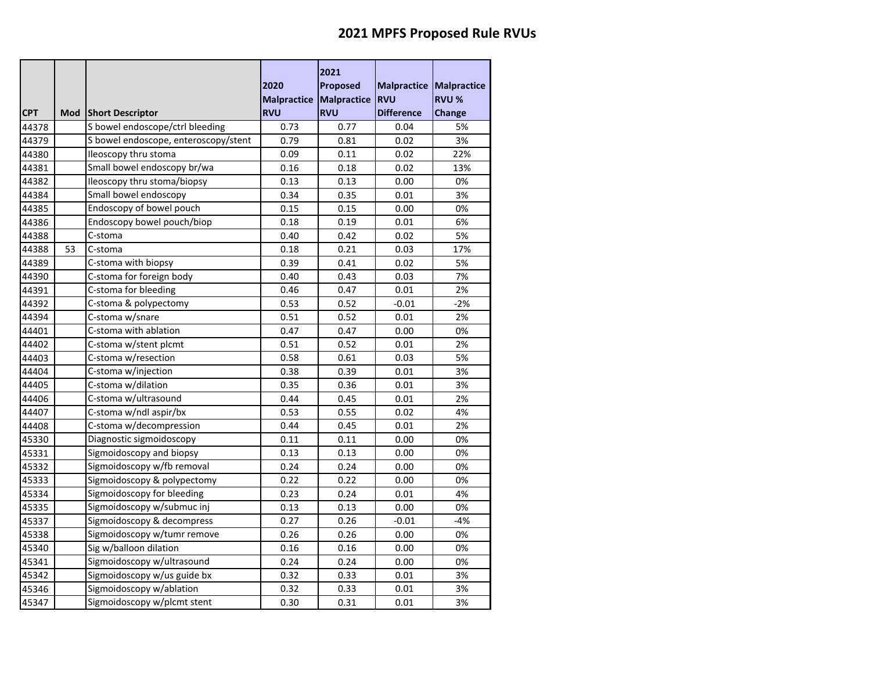|            |     |                                      | 2020<br>Malpractice Malpractice | 2021<br><b>Proposed</b> | <b>Malpractice Malpractice</b><br><b>RVU</b> | <b>RVU %</b>  |
|------------|-----|--------------------------------------|---------------------------------|-------------------------|----------------------------------------------|---------------|
| <b>CPT</b> | Mod | <b>Short Descriptor</b>              | <b>RVU</b>                      | <b>RVU</b>              | <b>Difference</b>                            | <b>Change</b> |
| 44378      |     | S bowel endoscope/ctrl bleeding      | 0.73                            | 0.77                    | 0.04                                         | 5%<br>3%      |
| 44379      |     | S bowel endoscope, enteroscopy/stent | 0.79                            | 0.81                    | 0.02                                         |               |
| 44380      |     | Ileoscopy thru stoma                 | 0.09                            | 0.11                    | 0.02                                         | 22%           |
| 44381      |     | Small bowel endoscopy br/wa          | 0.16                            | 0.18                    | 0.02                                         | 13%           |
| 44382      |     | Ileoscopy thru stoma/biopsy          | 0.13                            | 0.13                    | 0.00                                         | 0%            |
| 44384      |     | Small bowel endoscopy                | 0.34                            | 0.35                    | 0.01                                         | 3%            |
| 44385      |     | Endoscopy of bowel pouch             | 0.15                            | 0.15                    | 0.00                                         | 0%            |
| 44386      |     | Endoscopy bowel pouch/biop           | 0.18                            | 0.19                    | 0.01                                         | 6%            |
| 44388      |     | C-stoma                              | 0.40                            | 0.42                    | 0.02                                         | 5%            |
| 44388      | 53  | C-stoma                              | 0.18                            | 0.21                    | 0.03                                         | 17%           |
| 44389      |     | C-stoma with biopsy                  | 0.39                            | 0.41                    | 0.02                                         | 5%            |
| 44390      |     | C-stoma for foreign body             | 0.40                            | 0.43                    | 0.03                                         | 7%            |
| 44391      |     | C-stoma for bleeding                 | 0.46                            | 0.47                    | 0.01                                         | 2%            |
| 44392      |     | C-stoma & polypectomy                | 0.53                            | 0.52                    | $-0.01$                                      | $-2%$         |
| 44394      |     | C-stoma w/snare                      | 0.51                            | 0.52                    | 0.01                                         | 2%            |
| 44401      |     | C-stoma with ablation                | 0.47                            | 0.47                    | 0.00                                         | 0%            |
| 44402      |     | C-stoma w/stent plcmt                | 0.51                            | 0.52                    | 0.01                                         | 2%            |
| 44403      |     | C-stoma w/resection                  | 0.58                            | 0.61                    | 0.03                                         | 5%            |
| 44404      |     | C-stoma w/injection                  | 0.38                            | 0.39                    | 0.01                                         | 3%            |
| 44405      |     | C-stoma w/dilation                   | 0.35                            | 0.36                    | 0.01                                         | 3%            |
| 44406      |     | C-stoma w/ultrasound                 | 0.44                            | 0.45                    | 0.01                                         | 2%            |
| 44407      |     | C-stoma w/ndl aspir/bx               | 0.53                            | 0.55                    | 0.02                                         | 4%            |
| 44408      |     | C-stoma w/decompression              | 0.44                            | 0.45                    | 0.01                                         | 2%            |
| 45330      |     | Diagnostic sigmoidoscopy             | 0.11                            | 0.11                    | 0.00                                         | 0%            |
| 45331      |     | Sigmoidoscopy and biopsy             | 0.13                            | 0.13                    | 0.00                                         | 0%            |
| 45332      |     | Sigmoidoscopy w/fb removal           | 0.24                            | 0.24                    | 0.00                                         | 0%            |
| 45333      |     | Sigmoidoscopy & polypectomy          | 0.22                            | 0.22                    | 0.00                                         | 0%            |
| 45334      |     | Sigmoidoscopy for bleeding           | 0.23                            | 0.24                    | 0.01                                         | 4%            |
| 45335      |     | Sigmoidoscopy w/submuc inj           | 0.13                            | 0.13                    | 0.00                                         | 0%            |
| 45337      |     | Sigmoidoscopy & decompress           | 0.27                            | 0.26                    | $-0.01$                                      | $-4%$         |
| 45338      |     | Sigmoidoscopy w/tumr remove          | 0.26                            | 0.26                    | 0.00                                         | 0%            |
| 45340      |     | Sig w/balloon dilation               | 0.16                            | 0.16                    | 0.00                                         | 0%            |
| 45341      |     | Sigmoidoscopy w/ultrasound           | 0.24                            | 0.24                    | 0.00                                         | 0%            |
| 45342      |     | Sigmoidoscopy w/us guide bx          | 0.32                            | 0.33                    | 0.01                                         | 3%            |
| 45346      |     | Sigmoidoscopy w/ablation             | 0.32                            | 0.33                    | 0.01                                         | 3%            |
| 45347      |     | Sigmoidoscopy w/plcmt stent          | 0.30                            | 0.31                    | 0.01                                         | 3%            |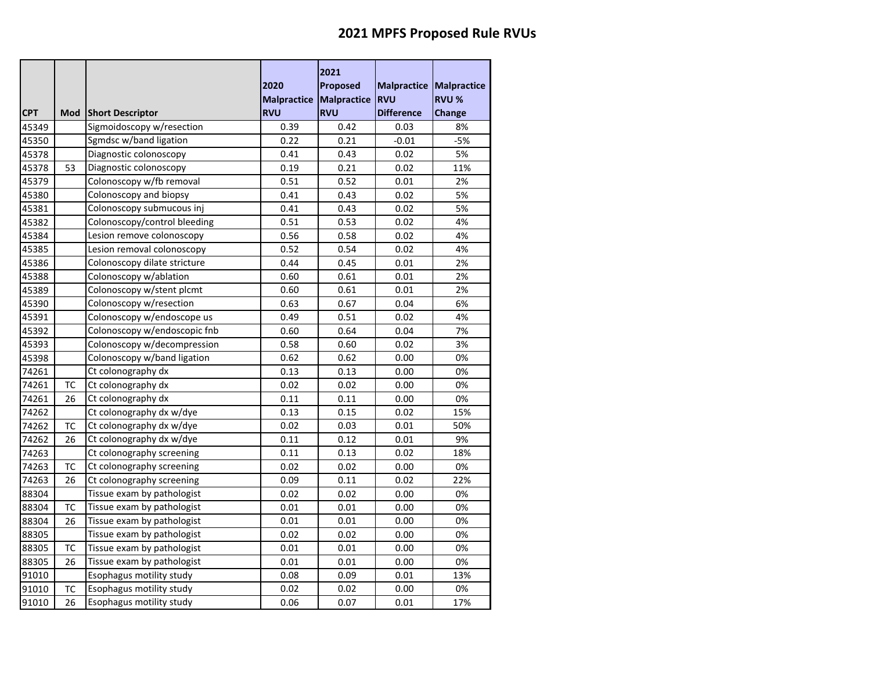|            |           |                              | 2020<br>Malpractice Malpractice | 2021<br><b>Proposed</b> | <b>Malpractice</b><br><b>RVU</b> | <b>Malpractice</b><br><b>RVU %</b> |
|------------|-----------|------------------------------|---------------------------------|-------------------------|----------------------------------|------------------------------------|
| <b>CPT</b> | Mod       | <b>Short Descriptor</b>      | <b>RVU</b>                      | <b>RVU</b>              | <b>Difference</b>                | Change                             |
| 45349      |           | Sigmoidoscopy w/resection    | 0.39                            | 0.42                    | 0.03                             | 8%                                 |
| 45350      |           | Sgmdsc w/band ligation       | 0.22                            | 0.21                    | $-0.01$                          | $-5%$                              |
| 45378      |           | Diagnostic colonoscopy       | 0.41                            | 0.43                    | 0.02                             | 5%                                 |
| 45378      | 53        | Diagnostic colonoscopy       | 0.19                            | 0.21                    | 0.02                             | 11%                                |
| 45379      |           | Colonoscopy w/fb removal     | 0.51                            | 0.52                    | 0.01                             | 2%                                 |
| 45380      |           | Colonoscopy and biopsy       | 0.41                            | 0.43                    | 0.02                             | 5%                                 |
| 45381      |           | Colonoscopy submucous inj    | 0.41                            | 0.43                    | 0.02                             | 5%                                 |
| 45382      |           | Colonoscopy/control bleeding | 0.51                            | 0.53                    | 0.02                             | 4%                                 |
| 45384      |           | Lesion remove colonoscopy    | 0.56                            | 0.58                    | 0.02                             | 4%                                 |
| 45385      |           | Lesion removal colonoscopy   | 0.52                            | 0.54                    | 0.02                             | 4%                                 |
| 45386      |           | Colonoscopy dilate stricture | 0.44                            | 0.45                    | 0.01                             | 2%                                 |
| 45388      |           | Colonoscopy w/ablation       | 0.60                            | 0.61                    | 0.01                             | 2%                                 |
| 45389      |           | Colonoscopy w/stent plcmt    | 0.60                            | 0.61                    | 0.01                             | 2%                                 |
| 45390      |           | Colonoscopy w/resection      | 0.63                            | 0.67                    | 0.04                             | 6%                                 |
| 45391      |           | Colonoscopy w/endoscope us   | 0.49                            | 0.51                    | 0.02                             | 4%                                 |
| 45392      |           | Colonoscopy w/endoscopic fnb | 0.60                            | 0.64                    | 0.04                             | 7%                                 |
| 45393      |           | Colonoscopy w/decompression  | 0.58                            | 0.60                    | 0.02                             | 3%                                 |
| 45398      |           | Colonoscopy w/band ligation  | 0.62                            | 0.62                    | 0.00                             | 0%                                 |
| 74261      |           | Ct colonography dx           | 0.13                            | 0.13                    | 0.00                             | 0%                                 |
| 74261      | ТC        | Ct colonography dx           | 0.02                            | 0.02                    | 0.00                             | 0%                                 |
| 74261      | 26        | Ct colonography dx           | 0.11                            | 0.11                    | 0.00                             | 0%                                 |
| 74262      |           | Ct colonography dx w/dye     | 0.13                            | 0.15                    | 0.02                             | 15%                                |
| 74262      | TC        | Ct colonography dx w/dye     | 0.02                            | 0.03                    | 0.01                             | 50%                                |
| 74262      | 26        | Ct colonography dx w/dye     | 0.11                            | 0.12                    | 0.01                             | 9%                                 |
| 74263      |           | Ct colonography screening    | 0.11                            | 0.13                    | 0.02                             | 18%                                |
| 74263      | ТC        | Ct colonography screening    | 0.02                            | 0.02                    | 0.00                             | 0%                                 |
| 74263      | 26        | Ct colonography screening    | 0.09                            | 0.11                    | 0.02                             | 22%                                |
| 88304      |           | Tissue exam by pathologist   | 0.02                            | 0.02                    | 0.00                             | 0%                                 |
| 88304      | <b>TC</b> | Tissue exam by pathologist   | 0.01                            | 0.01                    | 0.00                             | 0%                                 |
| 88304      | 26        | Tissue exam by pathologist   | 0.01                            | 0.01                    | 0.00                             | 0%                                 |
| 88305      |           | Tissue exam by pathologist   | 0.02                            | 0.02                    | 0.00                             | 0%                                 |
| 88305      | TC        | Tissue exam by pathologist   | 0.01                            | 0.01                    | 0.00                             | 0%                                 |
| 88305      | 26        | Tissue exam by pathologist   | 0.01                            | 0.01                    | 0.00                             | 0%                                 |
| 91010      |           | Esophagus motility study     | 0.08                            | 0.09                    | 0.01                             | 13%                                |
| 91010      | TC        | Esophagus motility study     | 0.02                            | 0.02                    | 0.00                             | 0%                                 |
| 91010      | 26        | Esophagus motility study     | 0.06                            | 0.07                    | 0.01                             | 17%                                |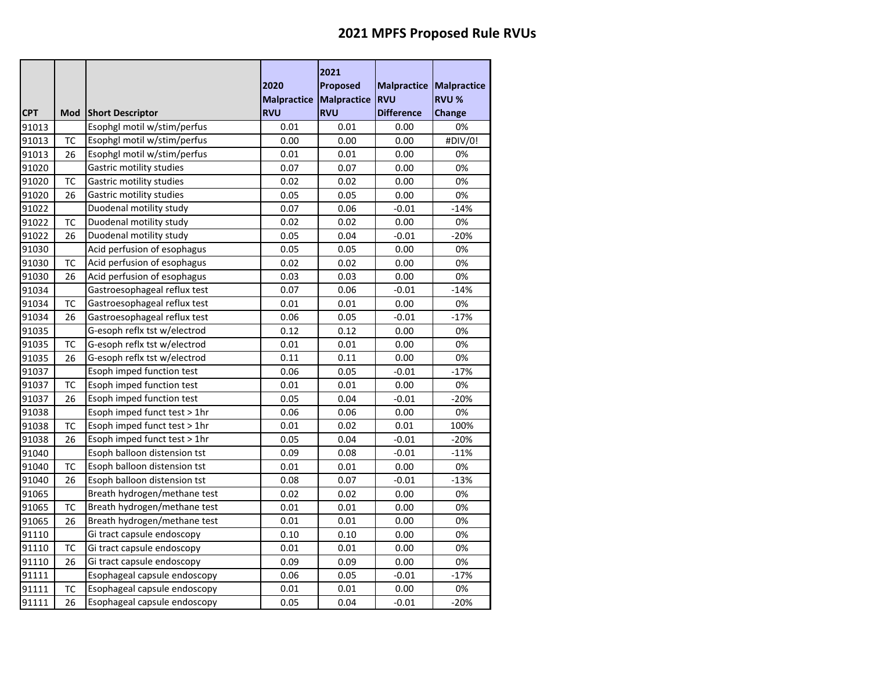|            |           |                                 | 2020<br>Malpractice Malpractice | 2021<br><b>Proposed</b> | <b>Malpractice</b><br><b>RVU</b> | <b>Malpractice</b><br><b>RVU %</b> |
|------------|-----------|---------------------------------|---------------------------------|-------------------------|----------------------------------|------------------------------------|
| <b>CPT</b> | Mod       | <b>Short Descriptor</b>         | <b>RVU</b>                      | <b>RVU</b>              | <b>Difference</b>                | Change                             |
| 91013      |           | Esophgl motil w/stim/perfus     | 0.01                            | 0.01                    | 0.00                             | 0%                                 |
| 91013      | <b>TC</b> | Esophgl motil w/stim/perfus     | 0.00                            | 0.00                    | 0.00                             | #DIV/0!                            |
| 91013      | 26        | Esophgl motil w/stim/perfus     | 0.01                            | 0.01                    | 0.00                             | 0%                                 |
| 91020      |           | <b>Gastric motility studies</b> | 0.07                            | 0.07                    | 0.00                             | 0%                                 |
| 91020      | TC        | <b>Gastric motility studies</b> | 0.02                            | 0.02                    | 0.00                             | 0%                                 |
| 91020      | 26        | Gastric motility studies        | 0.05                            | 0.05                    | 0.00                             | 0%                                 |
| 91022      |           | Duodenal motility study         | 0.07                            | 0.06                    | -0.01                            | $-14%$                             |
| 91022      | <b>TC</b> | Duodenal motility study         | 0.02                            | 0.02                    | 0.00                             | 0%                                 |
| 91022      | 26        | Duodenal motility study         | 0.05                            | 0.04                    | $-0.01$                          | $-20%$                             |
| 91030      |           | Acid perfusion of esophagus     | 0.05                            | 0.05                    | 0.00                             | 0%                                 |
| 91030      | TC        | Acid perfusion of esophagus     | 0.02                            | 0.02                    | 0.00                             | 0%                                 |
| 91030      | 26        | Acid perfusion of esophagus     | 0.03                            | 0.03                    | 0.00                             | 0%                                 |
| 91034      |           | Gastroesophageal reflux test    | 0.07                            | 0.06                    | $-0.01$                          | $-14%$                             |
| 91034      | ТC        | Gastroesophageal reflux test    | 0.01                            | 0.01                    | 0.00                             | 0%                                 |
| 91034      | 26        | Gastroesophageal reflux test    | 0.06                            | 0.05                    | $-0.01$                          | $-17%$                             |
| 91035      |           | G-esoph reflx tst w/electrod    | 0.12                            | 0.12                    | 0.00                             | 0%                                 |
| 91035      | <b>TC</b> | G-esoph reflx tst w/electrod    | 0.01                            | 0.01                    | 0.00                             | 0%                                 |
| 91035      | 26        | G-esoph reflx tst w/electrod    | 0.11                            | 0.11                    | 0.00                             | 0%                                 |
| 91037      |           | Esoph imped function test       | 0.06                            | 0.05                    | $-0.01$                          | $-17%$                             |
| 91037      | тс        | Esoph imped function test       | 0.01                            | 0.01                    | 0.00                             | 0%                                 |
| 91037      | 26        | Esoph imped function test       | 0.05                            | 0.04                    | $-0.01$                          | $-20%$                             |
| 91038      |           | Esoph imped funct test > 1hr    | 0.06                            | 0.06                    | 0.00                             | 0%                                 |
| 91038      | ТC        | Esoph imped funct test > 1hr    | 0.01                            | 0.02                    | 0.01                             | 100%                               |
| 91038      | 26        | Esoph imped funct test > 1hr    | 0.05                            | 0.04                    | $-0.01$                          | $-20%$                             |
| 91040      |           | Esoph balloon distension tst    | 0.09                            | 0.08                    | $-0.01$                          | $-11%$                             |
| 91040      | ТC        | Esoph balloon distension tst    | 0.01                            | 0.01                    | 0.00                             | 0%                                 |
| 91040      | 26        | Esoph balloon distension tst    | 0.08                            | 0.07                    | $-0.01$                          | $-13%$                             |
| 91065      |           | Breath hydrogen/methane test    | 0.02                            | 0.02                    | 0.00                             | 0%                                 |
| 91065      | TC        | Breath hydrogen/methane test    | 0.01                            | 0.01                    | 0.00                             | 0%                                 |
| 91065      | 26        | Breath hydrogen/methane test    | 0.01                            | 0.01                    | 0.00                             | 0%                                 |
| 91110      |           | Gi tract capsule endoscopy      | 0.10                            | 0.10                    | 0.00                             | 0%                                 |
| 91110      | <b>TC</b> | Gi tract capsule endoscopy      | 0.01                            | 0.01                    | 0.00                             | 0%                                 |
| 91110      | 26        | Gi tract capsule endoscopy      | 0.09                            | 0.09                    | 0.00                             | 0%                                 |
| 91111      |           | Esophageal capsule endoscopy    | 0.06                            | 0.05                    | $-0.01$                          | $-17%$                             |
| 91111      | ТC        | Esophageal capsule endoscopy    | 0.01                            | 0.01                    | 0.00                             | 0%                                 |
| 91111      | 26        | Esophageal capsule endoscopy    | 0.05                            | 0.04                    | $-0.01$                          | $-20%$                             |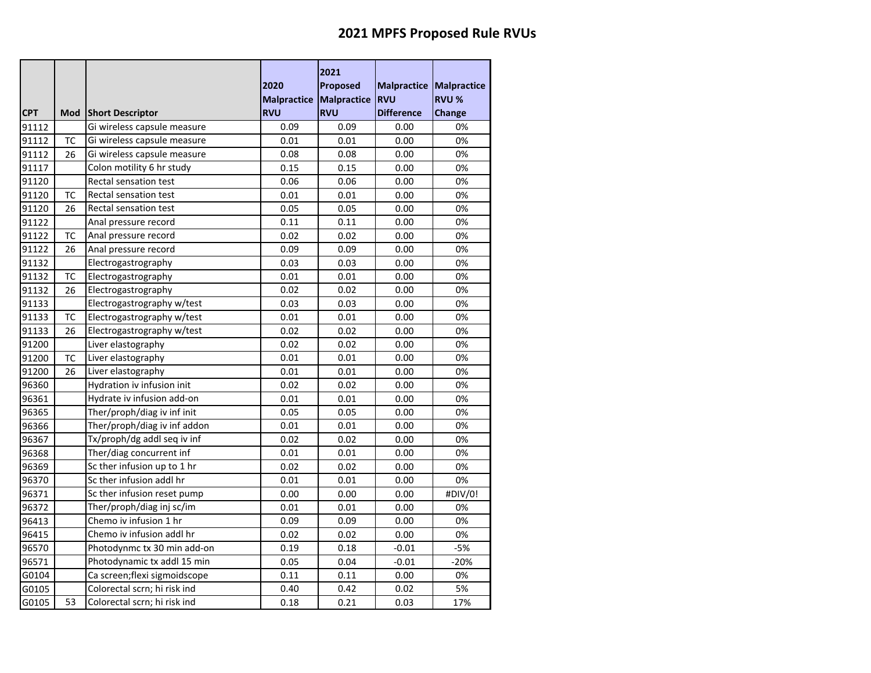|            |           |                              | 2020<br><b>Malpractice</b> | 2021<br><b>Proposed</b><br>Malpractice | <b>Malpractice Malpractice</b><br><b>RVU</b> | <b>RVU %</b> |
|------------|-----------|------------------------------|----------------------------|----------------------------------------|----------------------------------------------|--------------|
| <b>CPT</b> | Mod       | <b>Short Descriptor</b>      | <b>RVU</b>                 | <b>RVU</b>                             | <b>Difference</b>                            | Change       |
| 91112      |           | Gi wireless capsule measure  | 0.09                       | 0.09                                   | 0.00                                         | 0%           |
| 91112      | <b>TC</b> | Gi wireless capsule measure  | 0.01                       | 0.01                                   | 0.00                                         | 0%           |
| 91112      | 26        | Gi wireless capsule measure  | 0.08                       | 0.08                                   | 0.00                                         | 0%           |
| 91117      |           | Colon motility 6 hr study    | 0.15                       | 0.15                                   | 0.00                                         | 0%           |
| 91120      |           | Rectal sensation test        | 0.06                       | 0.06                                   | 0.00                                         | 0%           |
| 91120      | TC        | Rectal sensation test        | 0.01                       | 0.01                                   | 0.00                                         | 0%           |
| 91120      | 26        | <b>Rectal sensation test</b> | 0.05                       | 0.05                                   | 0.00                                         | 0%           |
| 91122      |           | Anal pressure record         | 0.11                       | 0.11                                   | 0.00                                         | 0%           |
| 91122      | TC        | Anal pressure record         | 0.02                       | 0.02                                   | 0.00                                         | 0%           |
| 91122      | 26        | Anal pressure record         | 0.09                       | 0.09                                   | 0.00                                         | 0%           |
| 91132      |           | Electrogastrography          | 0.03                       | 0.03                                   | 0.00                                         | 0%           |
| 91132      | <b>TC</b> | Electrogastrography          | 0.01                       | 0.01                                   | 0.00                                         | 0%           |
| 91132      | 26        | Electrogastrography          | 0.02                       | 0.02                                   | 0.00                                         | 0%           |
| 91133      |           | Electrogastrography w/test   | 0.03                       | 0.03                                   | 0.00                                         | 0%           |
| 91133      | <b>TC</b> | Electrogastrography w/test   | 0.01                       | 0.01                                   | 0.00                                         | 0%           |
| 91133      | 26        | Electrogastrography w/test   | 0.02                       | 0.02                                   | 0.00                                         | 0%           |
| 91200      |           | Liver elastography           | 0.02                       | 0.02                                   | 0.00                                         | 0%           |
| 91200      | TC        | Liver elastography           | 0.01                       | 0.01                                   | 0.00                                         | 0%           |
| 91200      | 26        | Liver elastography           | 0.01                       | 0.01                                   | 0.00                                         | 0%           |
| 96360      |           | Hydration iv infusion init   | 0.02                       | 0.02                                   | 0.00                                         | 0%           |
| 96361      |           | Hydrate iv infusion add-on   | 0.01                       | 0.01                                   | 0.00                                         | 0%           |
| 96365      |           | Ther/proph/diag iv inf init  | 0.05                       | 0.05                                   | 0.00                                         | 0%           |
| 96366      |           | Ther/proph/diag iv inf addon | 0.01                       | 0.01                                   | 0.00                                         | 0%           |
| 96367      |           | Tx/proph/dg addl seq iv inf  | 0.02                       | 0.02                                   | 0.00                                         | 0%           |
| 96368      |           | Ther/diag concurrent inf     | 0.01                       | 0.01                                   | 0.00                                         | 0%           |
| 96369      |           | Sc ther infusion up to 1 hr  | 0.02                       | 0.02                                   | 0.00                                         | 0%           |
| 96370      |           | Sc ther infusion addl hr     | 0.01                       | 0.01                                   | 0.00                                         | 0%           |
| 96371      |           | Sc ther infusion reset pump  | 0.00                       | 0.00                                   | 0.00                                         | #DIV/0!      |
| 96372      |           | Ther/proph/diag inj sc/im    | 0.01                       | 0.01                                   | 0.00                                         | 0%           |
| 96413      |           | Chemo iv infusion 1 hr       | 0.09                       | 0.09                                   | 0.00                                         | 0%           |
| 96415      |           | Chemo iv infusion addl hr    | 0.02                       | 0.02                                   | 0.00                                         | 0%           |
| 96570      |           | Photodynmc tx 30 min add-on  | 0.19                       | 0.18                                   | $-0.01$                                      | $-5%$        |
| 96571      |           | Photodynamic tx addl 15 min  | 0.05                       | 0.04                                   | $-0.01$                                      | $-20%$       |
| G0104      |           | Ca screen;flexi sigmoidscope | 0.11                       | 0.11                                   | 0.00                                         | 0%           |
| G0105      |           | Colorectal scrn; hi risk ind | 0.40                       | 0.42                                   | 0.02                                         | 5%           |
| G0105      | 53        | Colorectal scrn; hi risk ind | 0.18                       | 0.21                                   | 0.03                                         | 17%          |